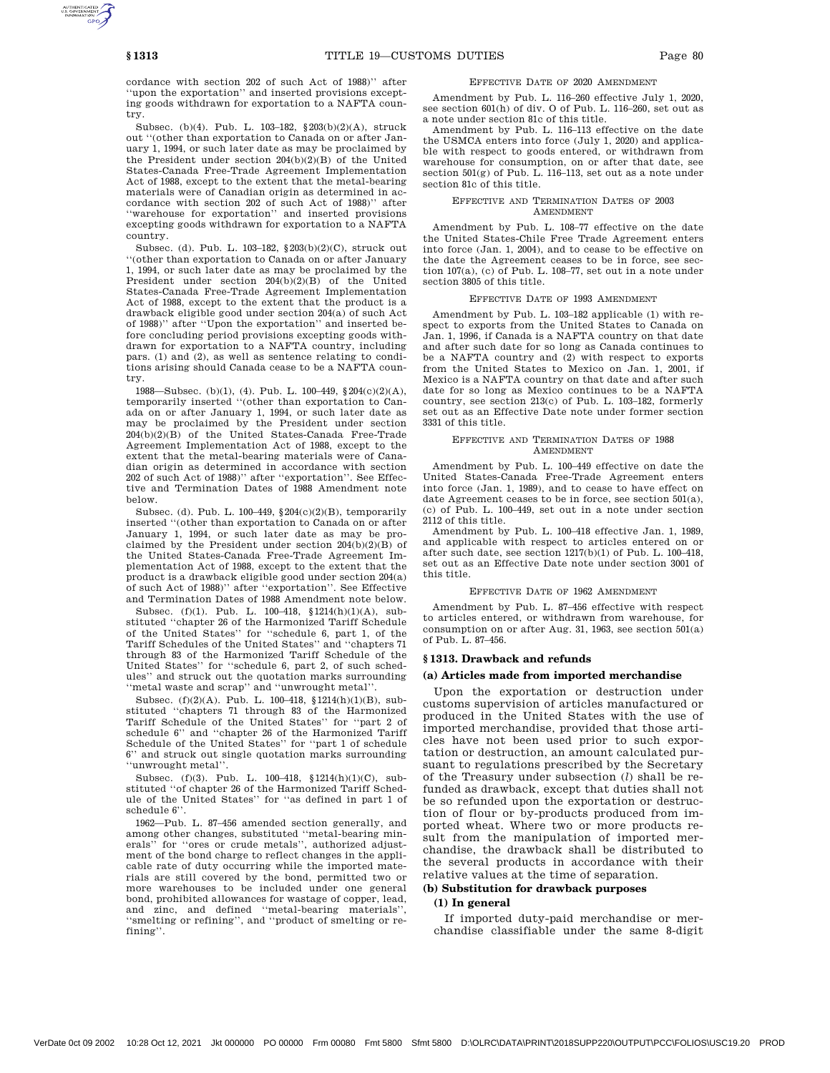cordance with section 202 of such Act of 1988)'' after ''upon the exportation'' and inserted provisions excepting goods withdrawn for exportation to a NAFTA country.

Subsec. (b)(4). Pub. L. 103–182, §203(b)(2)(A), struck out ''(other than exportation to Canada on or after January 1, 1994, or such later date as may be proclaimed by the President under section 204(b)(2)(B) of the United States-Canada Free-Trade Agreement Implementation Act of 1988, except to the extent that the metal-bearing materials were of Canadian origin as determined in accordance with section 202 of such Act of 1988)'' after ''warehouse for exportation'' and inserted provisions excepting goods withdrawn for exportation to a NAFTA country.

Subsec. (d). Pub. L. 103–182, §203(b)(2)(C), struck out ''(other than exportation to Canada on or after January 1, 1994, or such later date as may be proclaimed by the President under section 204(b)(2)(B) of the United States-Canada Free-Trade Agreement Implementation Act of 1988, except to the extent that the product is a drawback eligible good under section 204(a) of such Act of 1988)'' after ''Upon the exportation'' and inserted before concluding period provisions excepting goods withdrawn for exportation to a NAFTA country, including pars. (1) and (2), as well as sentence relating to conditions arising should Canada cease to be a NAFTA country.

1988—Subsec. (b)(1), (4). Pub. L. 100–449, §204(c)(2)(A), temporarily inserted ''(other than exportation to Canada on or after January 1, 1994, or such later date as may be proclaimed by the President under section 204(b)(2)(B) of the United States-Canada Free-Trade Agreement Implementation Act of 1988, except to the extent that the metal-bearing materials were of Canadian origin as determined in accordance with section 202 of such Act of 1988)'' after ''exportation''. See Effective and Termination Dates of 1988 Amendment note below.

Subsec. (d). Pub. L.  $100-449$ ,  $204(c)(2)(B)$ , temporarily inserted ''(other than exportation to Canada on or after January 1, 1994, or such later date as may be proclaimed by the President under section  $204(b)(2)(B)$  of the United States-Canada Free-Trade Agreement Implementation Act of 1988, except to the extent that the product is a drawback eligible good under section 204(a) of such Act of 1988)'' after ''exportation''. See Effective and Termination Dates of 1988 Amendment note below.

Subsec. (f)(1). Pub. L. 100–418, §1214(h)(1)(A), substituted ''chapter 26 of the Harmonized Tariff Schedule of the United States'' for ''schedule 6, part 1, of the Tariff Schedules of the United States'' and ''chapters 71 through 83 of the Harmonized Tariff Schedule of the United States'' for ''schedule 6, part 2, of such schedules'' and struck out the quotation marks surrounding ''metal waste and scrap'' and ''unwrought metal''.

Subsec. (f)(2)(A). Pub. L. 100–418, §1214(h)(1)(B), substituted ''chapters 71 through 83 of the Harmonized Tariff Schedule of the United States'' for ''part 2 of schedule 6'' and ''chapter 26 of the Harmonized Tariff Schedule of the United States'' for ''part 1 of schedule 6'' and struck out single quotation marks surrounding ''unwrought metal''.

Subsec. (f)(3). Pub. L. 100–418, §1214(h)(1)(C), substituted ''of chapter 26 of the Harmonized Tariff Schedule of the United States'' for ''as defined in part 1 of schedule 6''.

1962—Pub. L. 87–456 amended section generally, and among other changes, substituted ''metal-bearing minerals" for "ores or crude metals", authorized adjustment of the bond charge to reflect changes in the applicable rate of duty occurring while the imported materials are still covered by the bond, permitted two or more warehouses to be included under one general bond, prohibited allowances for wastage of copper, lead, and zinc, and defined ''metal-bearing materials'', ''smelting or refining'', and ''product of smelting or refining''.

#### EFFECTIVE DATE OF 2020 AMENDMENT

Amendment by Pub. L. 116–260 effective July 1, 2020, see section  $601(h)$  of div. O of Pub. L.  $116-260$ , set out as a note under section 81c of this title.

Amendment by Pub. L. 116–113 effective on the date the USMCA enters into force (July 1, 2020) and applicable with respect to goods entered, or withdrawn from warehouse for consumption, on or after that date, see section 501(g) of Pub. L. 116–113, set out as a note under section 81c of this title.

#### EFFECTIVE AND TERMINATION DATES OF 2003 AMENDMENT

Amendment by Pub. L. 108–77 effective on the date the United States-Chile Free Trade Agreement enters into force (Jan. 1, 2004), and to cease to be effective on the date the Agreement ceases to be in force, see section 107(a), (c) of Pub. L. 108–77, set out in a note under section 3805 of this title.

#### EFFECTIVE DATE OF 1993 AMENDMENT

Amendment by Pub. L. 103–182 applicable (1) with respect to exports from the United States to Canada on Jan. 1, 1996, if Canada is a NAFTA country on that date and after such date for so long as Canada continues to be a NAFTA country and (2) with respect to exports from the United States to Mexico on Jan. 1, 2001, if Mexico is a NAFTA country on that date and after such date for so long as Mexico continues to be a NAFTA country, see section 213(c) of Pub. L. 103–182, formerly set out as an Effective Date note under former section 3331 of this title.

### EFFECTIVE AND TERMINATION DATES OF 1988 AMENDMENT

Amendment by Pub. L. 100–449 effective on date the United States-Canada Free-Trade Agreement enters into force (Jan. 1, 1989), and to cease to have effect on date Agreement ceases to be in force, see section 501(a), (c) of Pub. L. 100–449, set out in a note under section 2112 of this title.

Amendment by Pub. L. 100–418 effective Jan. 1, 1989, and applicable with respect to articles entered on or after such date, see section 1217(b)(1) of Pub. L. 100–418, set out as an Effective Date note under section 3001 of this title.

#### EFFECTIVE DATE OF 1962 AMENDMENT

Amendment by Pub. L. 87–456 effective with respect to articles entered, or withdrawn from warehouse, for consumption on or after Aug. 31, 1963, see section 501(a) of Pub. L. 87–456.

#### **§ 1313. Drawback and refunds**

#### **(a) Articles made from imported merchandise**

Upon the exportation or destruction under customs supervision of articles manufactured or produced in the United States with the use of imported merchandise, provided that those articles have not been used prior to such exportation or destruction, an amount calculated pursuant to regulations prescribed by the Secretary of the Treasury under subsection (*l*) shall be refunded as drawback, except that duties shall not be so refunded upon the exportation or destruction of flour or by-products produced from imported wheat. Where two or more products result from the manipulation of imported merchandise, the drawback shall be distributed to the several products in accordance with their relative values at the time of separation.

# **(b) Substitution for drawback purposes**

# **(1) In general**

If imported duty-paid merchandise or merchandise classifiable under the same 8-digit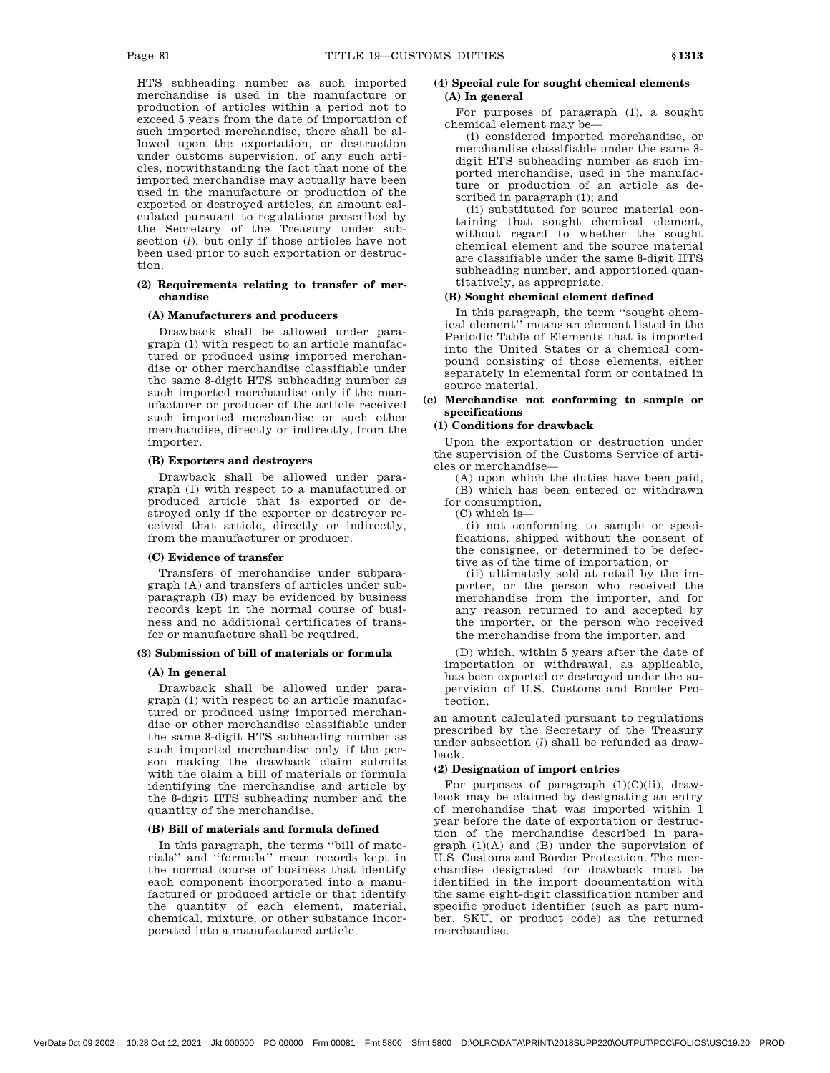HTS subheading number as such imported merchandise is used in the manufacture or production of articles within a period not to exceed 5 years from the date of importation of such imported merchandise, there shall be allowed upon the exportation, or destruction under customs supervision, of any such articles, notwithstanding the fact that none of the imported merchandise may actually have been used in the manufacture or production of the exported or destroyed articles, an amount calculated pursuant to regulations prescribed by the Secretary of the Treasury under subsection (*l*), but only if those articles have not been used prior to such exportation or destruction.

### **(2) Requirements relating to transfer of merchandise**

### **(A) Manufacturers and producers**

Drawback shall be allowed under paragraph (1) with respect to an article manufactured or produced using imported merchandise or other merchandise classifiable under the same 8-digit HTS subheading number as such imported merchandise only if the manufacturer or producer of the article received such imported merchandise or such other merchandise, directly or indirectly, from the importer.

# **(B) Exporters and destroyers**

Drawback shall be allowed under paragraph (1) with respect to a manufactured or produced article that is exported or destroyed only if the exporter or destroyer received that article, directly or indirectly, from the manufacturer or producer.

## **(C) Evidence of transfer**

Transfers of merchandise under subparagraph (A) and transfers of articles under subparagraph (B) may be evidenced by business records kept in the normal course of business and no additional certificates of transfer or manufacture shall be required.

# **(3) Submission of bill of materials or formula**

#### **(A) In general**

Drawback shall be allowed under paragraph (1) with respect to an article manufactured or produced using imported merchandise or other merchandise classifiable under the same 8-digit HTS subheading number as such imported merchandise only if the person making the drawback claim submits with the claim a bill of materials or formula identifying the merchandise and article by the 8-digit HTS subheading number and the quantity of the merchandise.

### **(B) Bill of materials and formula defined**

In this paragraph, the terms ''bill of materials'' and ''formula'' mean records kept in the normal course of business that identify each component incorporated into a manufactured or produced article or that identify the quantity of each element, material, chemical, mixture, or other substance incorporated into a manufactured article.

# **(4) Special rule for sought chemical elements (A) In general**

For purposes of paragraph (1), a sought chemical element may be—

(i) considered imported merchandise, or merchandise classifiable under the same 8 digit HTS subheading number as such imported merchandise, used in the manufacture or production of an article as described in paragraph (1); and

(ii) substituted for source material containing that sought chemical element, without regard to whether the sought chemical element and the source material are classifiable under the same 8-digit HTS subheading number, and apportioned quantitatively, as appropriate.

# **(B) Sought chemical element defined**

In this paragraph, the term ''sought chemical element'' means an element listed in the Periodic Table of Elements that is imported into the United States or a chemical compound consisting of those elements, either separately in elemental form or contained in source material.

# **(c) Merchandise not conforming to sample or specifications**

# **(1) Conditions for drawback**

Upon the exportation or destruction under the supervision of the Customs Service of articles or merchandise—

(A) upon which the duties have been paid, (B) which has been entered or withdrawn for consumption,

(C) which is—

(i) not conforming to sample or specifications, shipped without the consent of the consignee, or determined to be defective as of the time of importation, or

(ii) ultimately sold at retail by the importer, or the person who received the merchandise from the importer, and for any reason returned to and accepted by the importer, or the person who received the merchandise from the importer, and

(D) which, within 5 years after the date of importation or withdrawal, as applicable, has been exported or destroyed under the supervision of U.S. Customs and Border Protection,

an amount calculated pursuant to regulations prescribed by the Secretary of the Treasury under subsection (*l*) shall be refunded as drawback.

# **(2) Designation of import entries**

For purposes of paragraph  $(1)(C)(ii)$ , drawback may be claimed by designating an entry of merchandise that was imported within 1 year before the date of exportation or destruction of the merchandise described in paragraph (1)(A) and (B) under the supervision of U.S. Customs and Border Protection. The merchandise designated for drawback must be identified in the import documentation with the same eight-digit classification number and specific product identifier (such as part number, SKU, or product code) as the returned merchandise.

VerDate 0ct 09 2002 10:28 Oct 12, 2021 Jkt 000000 PO 00000 Frm 00081 Fmt 5800 Sfmt 5800 D:\OLRC\DATA\PRINT\2018SUPP220\OUTPUT\PCC\FOLIOS\USC19.20 PROD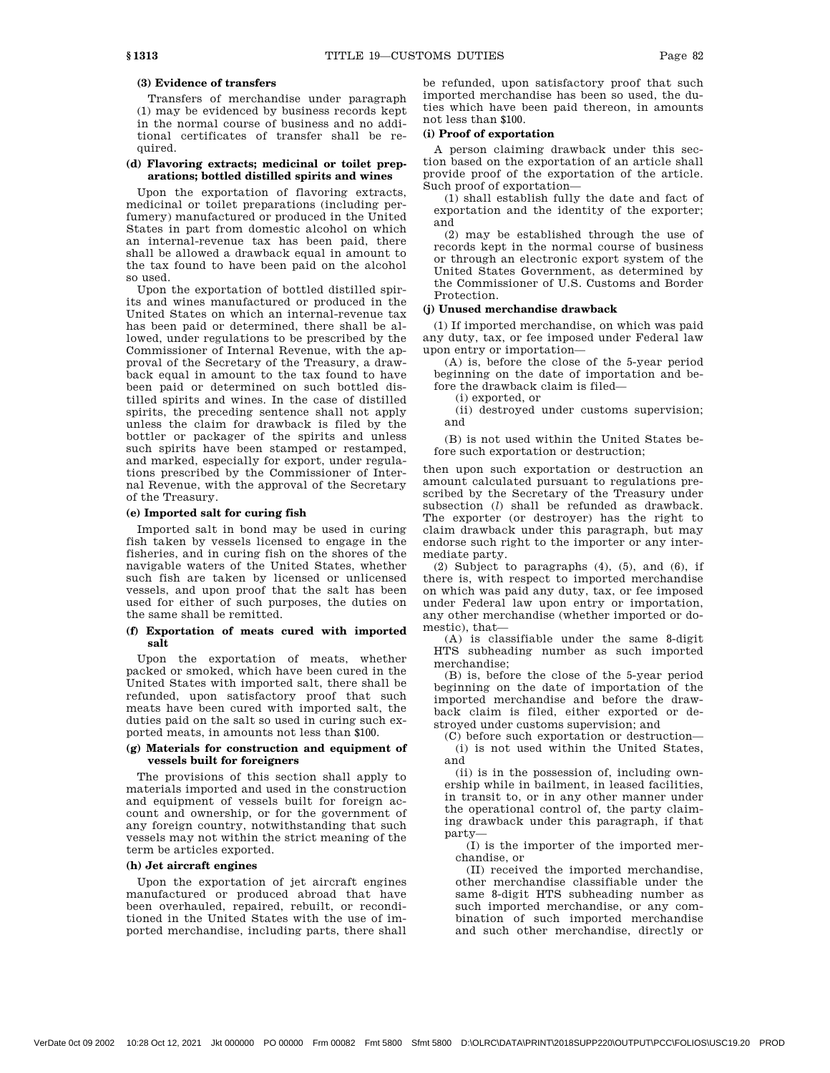# **(3) Evidence of transfers**

Transfers of merchandise under paragraph (1) may be evidenced by business records kept in the normal course of business and no additional certificates of transfer shall be required.

## **(d) Flavoring extracts; medicinal or toilet preparations; bottled distilled spirits and wines**

Upon the exportation of flavoring extracts, medicinal or toilet preparations (including perfumery) manufactured or produced in the United States in part from domestic alcohol on which an internal-revenue tax has been paid, there shall be allowed a drawback equal in amount to the tax found to have been paid on the alcohol so used.

Upon the exportation of bottled distilled spirits and wines manufactured or produced in the United States on which an internal-revenue tax has been paid or determined, there shall be allowed, under regulations to be prescribed by the Commissioner of Internal Revenue, with the approval of the Secretary of the Treasury, a drawback equal in amount to the tax found to have been paid or determined on such bottled distilled spirits and wines. In the case of distilled spirits, the preceding sentence shall not apply unless the claim for drawback is filed by the bottler or packager of the spirits and unless such spirits have been stamped or restamped, and marked, especially for export, under regulations prescribed by the Commissioner of Internal Revenue, with the approval of the Secretary of the Treasury.

### **(e) Imported salt for curing fish**

Imported salt in bond may be used in curing fish taken by vessels licensed to engage in the fisheries, and in curing fish on the shores of the navigable waters of the United States, whether such fish are taken by licensed or unlicensed vessels, and upon proof that the salt has been used for either of such purposes, the duties on the same shall be remitted.

### **(f) Exportation of meats cured with imported salt**

Upon the exportation of meats, whether packed or smoked, which have been cured in the United States with imported salt, there shall be refunded, upon satisfactory proof that such meats have been cured with imported salt, the duties paid on the salt so used in curing such exported meats, in amounts not less than \$100.

# **(g) Materials for construction and equipment of vessels built for foreigners**

The provisions of this section shall apply to materials imported and used in the construction and equipment of vessels built for foreign account and ownership, or for the government of any foreign country, notwithstanding that such vessels may not within the strict meaning of the term be articles exported.

### **(h) Jet aircraft engines**

Upon the exportation of jet aircraft engines manufactured or produced abroad that have been overhauled, repaired, rebuilt, or reconditioned in the United States with the use of imported merchandise, including parts, there shall

be refunded, upon satisfactory proof that such imported merchandise has been so used, the duties which have been paid thereon, in amounts not less than \$100.

# **(i) Proof of exportation**

A person claiming drawback under this section based on the exportation of an article shall provide proof of the exportation of the article. Such proof of exportation—

(1) shall establish fully the date and fact of exportation and the identity of the exporter; and

(2) may be established through the use of records kept in the normal course of business or through an electronic export system of the United States Government, as determined by the Commissioner of U.S. Customs and Border Protection.

#### **(j) Unused merchandise drawback**

(1) If imported merchandise, on which was paid any duty, tax, or fee imposed under Federal law upon entry or importation—

(A) is, before the close of the 5-year period beginning on the date of importation and before the drawback claim is filed—

(i) exported, or

(ii) destroyed under customs supervision; and

(B) is not used within the United States before such exportation or destruction;

then upon such exportation or destruction an amount calculated pursuant to regulations prescribed by the Secretary of the Treasury under subsection (*l*) shall be refunded as drawback. The exporter (or destroyer) has the right to claim drawback under this paragraph, but may endorse such right to the importer or any intermediate party.

(2) Subject to paragraphs (4), (5), and (6), if there is, with respect to imported merchandise on which was paid any duty, tax, or fee imposed under Federal law upon entry or importation, any other merchandise (whether imported or domestic), that—

(A) is classifiable under the same 8-digit HTS subheading number as such imported merchandise;

(B) is, before the close of the 5-year period beginning on the date of importation of the imported merchandise and before the drawback claim is filed, either exported or destroyed under customs supervision; and

(C) before such exportation or destruction—

(i) is not used within the United States, and

(ii) is in the possession of, including ownership while in bailment, in leased facilities, in transit to, or in any other manner under the operational control of, the party claiming drawback under this paragraph, if that party—

(I) is the importer of the imported merchandise, or

(II) received the imported merchandise, other merchandise classifiable under the same 8-digit HTS subheading number as such imported merchandise, or any combination of such imported merchandise and such other merchandise, directly or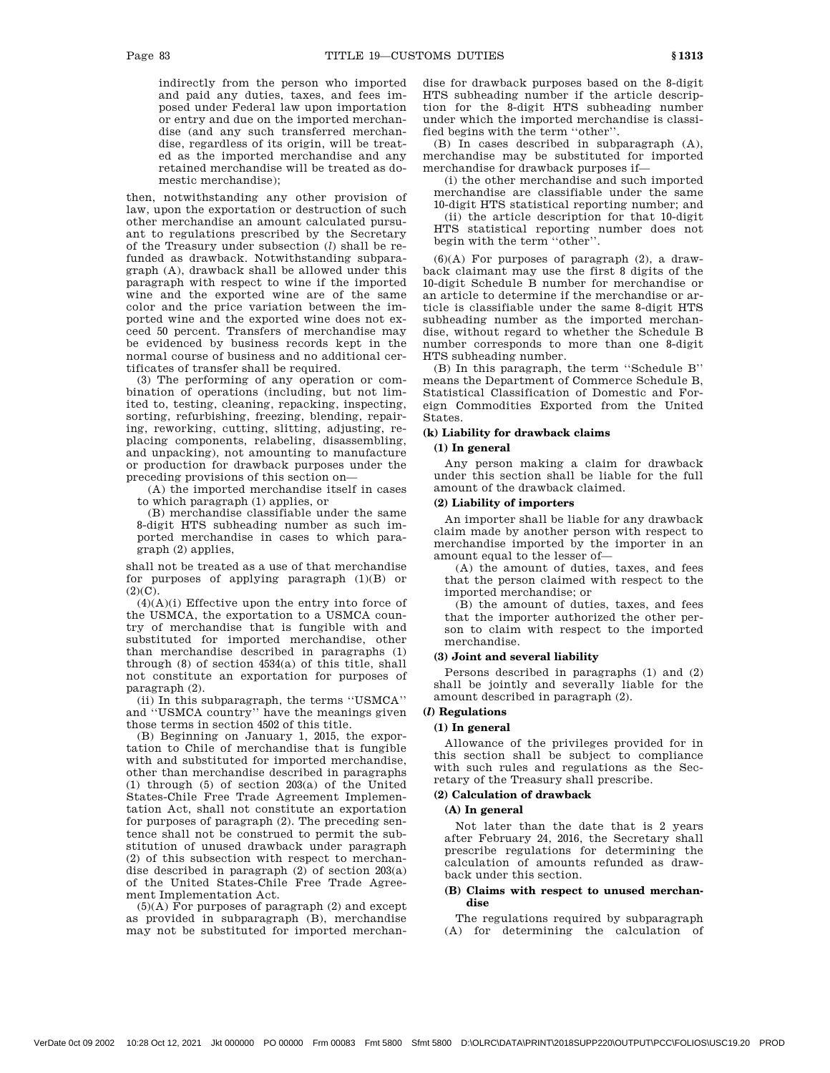indirectly from the person who imported and paid any duties, taxes, and fees imposed under Federal law upon importation or entry and due on the imported merchandise (and any such transferred merchandise, regardless of its origin, will be treated as the imported merchandise and any retained merchandise will be treated as domestic merchandise);

then, notwithstanding any other provision of law, upon the exportation or destruction of such other merchandise an amount calculated pursuant to regulations prescribed by the Secretary of the Treasury under subsection (*l*) shall be refunded as drawback. Notwithstanding subparagraph (A), drawback shall be allowed under this paragraph with respect to wine if the imported wine and the exported wine are of the same color and the price variation between the imported wine and the exported wine does not exceed 50 percent. Transfers of merchandise may be evidenced by business records kept in the normal course of business and no additional certificates of transfer shall be required.

(3) The performing of any operation or combination of operations (including, but not limited to, testing, cleaning, repacking, inspecting, sorting, refurbishing, freezing, blending, repairing, reworking, cutting, slitting, adjusting, replacing components, relabeling, disassembling, and unpacking), not amounting to manufacture or production for drawback purposes under the preceding provisions of this section on—

(A) the imported merchandise itself in cases to which paragraph (1) applies, or

(B) merchandise classifiable under the same 8-digit HTS subheading number as such imported merchandise in cases to which paragraph (2) applies,

shall not be treated as a use of that merchandise for purposes of applying paragraph (1)(B) or  $(2)(C)$ .

(4)(A)(i) Effective upon the entry into force of the USMCA, the exportation to a USMCA country of merchandise that is fungible with and substituted for imported merchandise, other than merchandise described in paragraphs (1) through (8) of section 4534(a) of this title, shall not constitute an exportation for purposes of paragraph (2).

(ii) In this subparagraph, the terms ''USMCA'' and ''USMCA country'' have the meanings given those terms in section 4502 of this title.

(B) Beginning on January 1, 2015, the exportation to Chile of merchandise that is fungible with and substituted for imported merchandise, other than merchandise described in paragraphs (1) through (5) of section 203(a) of the United States-Chile Free Trade Agreement Implementation Act, shall not constitute an exportation for purposes of paragraph (2). The preceding sentence shall not be construed to permit the substitution of unused drawback under paragraph (2) of this subsection with respect to merchandise described in paragraph  $(2)$  of section  $203(a)$ of the United States-Chile Free Trade Agreement Implementation Act.

 $(5)(A)$  For purposes of paragraph  $(2)$  and except as provided in subparagraph (B), merchandise may not be substituted for imported merchandise for drawback purposes based on the 8-digit HTS subheading number if the article description for the 8-digit HTS subheading number under which the imported merchandise is classified begins with the term ''other''.

(B) In cases described in subparagraph (A), merchandise may be substituted for imported merchandise for drawback purposes if—

(i) the other merchandise and such imported merchandise are classifiable under the same

10-digit HTS statistical reporting number; and (ii) the article description for that 10-digit HTS statistical reporting number does not begin with the term ''other''.

(6)(A) For purposes of paragraph (2), a drawback claimant may use the first 8 digits of the 10-digit Schedule B number for merchandise or an article to determine if the merchandise or article is classifiable under the same 8-digit HTS subheading number as the imported merchandise, without regard to whether the Schedule B number corresponds to more than one 8-digit HTS subheading number.

(B) In this paragraph, the term ''Schedule B'' means the Department of Commerce Schedule B, Statistical Classification of Domestic and Foreign Commodities Exported from the United States.

# **(k) Liability for drawback claims**

# **(1) In general**

Any person making a claim for drawback under this section shall be liable for the full amount of the drawback claimed.

### **(2) Liability of importers**

An importer shall be liable for any drawback claim made by another person with respect to merchandise imported by the importer in an amount equal to the lesser of—

(A) the amount of duties, taxes, and fees that the person claimed with respect to the imported merchandise; or

(B) the amount of duties, taxes, and fees that the importer authorized the other person to claim with respect to the imported merchandise.

### **(3) Joint and several liability**

Persons described in paragraphs (1) and (2) shall be jointly and severally liable for the amount described in paragraph (2).

### **(***l***) Regulations**

## **(1) In general**

Allowance of the privileges provided for in this section shall be subject to compliance with such rules and regulations as the Secretary of the Treasury shall prescribe.

# **(2) Calculation of drawback**

## **(A) In general**

Not later than the date that is 2 years after February 24, 2016, the Secretary shall prescribe regulations for determining the calculation of amounts refunded as drawback under this section.

### **(B) Claims with respect to unused merchandise**

The regulations required by subparagraph (A) for determining the calculation of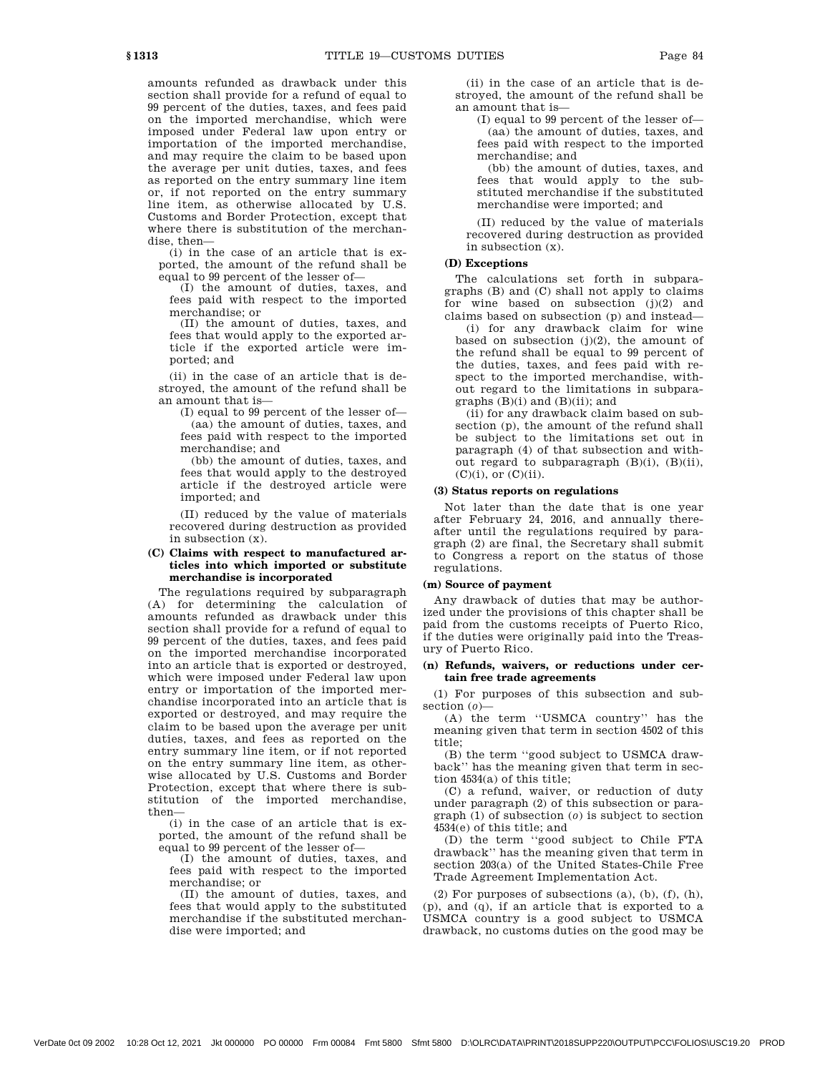amounts refunded as drawback under this section shall provide for a refund of equal to 99 percent of the duties, taxes, and fees paid on the imported merchandise, which were imposed under Federal law upon entry or importation of the imported merchandise, and may require the claim to be based upon the average per unit duties, taxes, and fees as reported on the entry summary line item or, if not reported on the entry summary line item, as otherwise allocated by U.S. Customs and Border Protection, except that where there is substitution of the merchandise, then—

(i) in the case of an article that is exported, the amount of the refund shall be equal to 99 percent of the lesser of—

(I) the amount of duties, taxes, and fees paid with respect to the imported merchandise; or

(II) the amount of duties, taxes, and fees that would apply to the exported article if the exported article were imported; and

(ii) in the case of an article that is destroyed, the amount of the refund shall be an amount that is—

(I) equal to 99 percent of the lesser of— (aa) the amount of duties, taxes, and fees paid with respect to the imported merchandise; and

(bb) the amount of duties, taxes, and fees that would apply to the destroyed article if the destroyed article were imported; and

(II) reduced by the value of materials recovered during destruction as provided in subsection (x).

## **(C) Claims with respect to manufactured articles into which imported or substitute merchandise is incorporated**

The regulations required by subparagraph (A) for determining the calculation of amounts refunded as drawback under this section shall provide for a refund of equal to 99 percent of the duties, taxes, and fees paid on the imported merchandise incorporated into an article that is exported or destroyed, which were imposed under Federal law upon entry or importation of the imported merchandise incorporated into an article that is exported or destroyed, and may require the claim to be based upon the average per unit duties, taxes, and fees as reported on the entry summary line item, or if not reported on the entry summary line item, as otherwise allocated by U.S. Customs and Border Protection, except that where there is substitution of the imported merchandise, then—

(i) in the case of an article that is exported, the amount of the refund shall be equal to 99 percent of the lesser of—

(I) the amount of duties, taxes, and fees paid with respect to the imported merchandise; or

(II) the amount of duties, taxes, and fees that would apply to the substituted merchandise if the substituted merchandise were imported; and

(ii) in the case of an article that is destroyed, the amount of the refund shall be an amount that is—

(I) equal to 99 percent of the lesser of— (aa) the amount of duties, taxes, and fees paid with respect to the imported merchandise; and

(bb) the amount of duties, taxes, and fees that would apply to the substituted merchandise if the substituted merchandise were imported; and

(II) reduced by the value of materials recovered during destruction as provided in subsection (x).

## **(D) Exceptions**

The calculations set forth in subparagraphs (B) and (C) shall not apply to claims for wine based on subsection (j)(2) and claims based on subsection (p) and instead—

(i) for any drawback claim for wine based on subsection  $(j)(2)$ , the amount of the refund shall be equal to 99 percent of the duties, taxes, and fees paid with respect to the imported merchandise, without regard to the limitations in subparagraphs  $(B)(i)$  and  $(B)(ii)$ ; and

(ii) for any drawback claim based on subsection (p), the amount of the refund shall be subject to the limitations set out in paragraph (4) of that subsection and without regard to subparagraph (B)(i), (B)(ii),  $(C)(i)$ , or  $(C)(ii)$ .

### **(3) Status reports on regulations**

Not later than the date that is one year after February 24, 2016, and annually thereafter until the regulations required by paragraph (2) are final, the Secretary shall submit to Congress a report on the status of those regulations.

#### **(m) Source of payment**

Any drawback of duties that may be authorized under the provisions of this chapter shall be paid from the customs receipts of Puerto Rico, if the duties were originally paid into the Treasury of Puerto Rico.

## **(n) Refunds, waivers, or reductions under certain free trade agreements**

(1) For purposes of this subsection and subsection (*o*)—

(A) the term ''USMCA country'' has the meaning given that term in section 4502 of this title;

(B) the term ''good subject to USMCA drawback'' has the meaning given that term in section 4534(a) of this title;

(C) a refund, waiver, or reduction of duty under paragraph (2) of this subsection or paragraph (1) of subsection (*o*) is subject to section 4534(e) of this title; and

(D) the term ''good subject to Chile FTA drawback'' has the meaning given that term in section 203(a) of the United States-Chile Free Trade Agreement Implementation Act.

(2) For purposes of subsections  $(a)$ ,  $(b)$ ,  $(f)$ ,  $(h)$ , (p), and (q), if an article that is exported to a USMCA country is a good subject to USMCA drawback, no customs duties on the good may be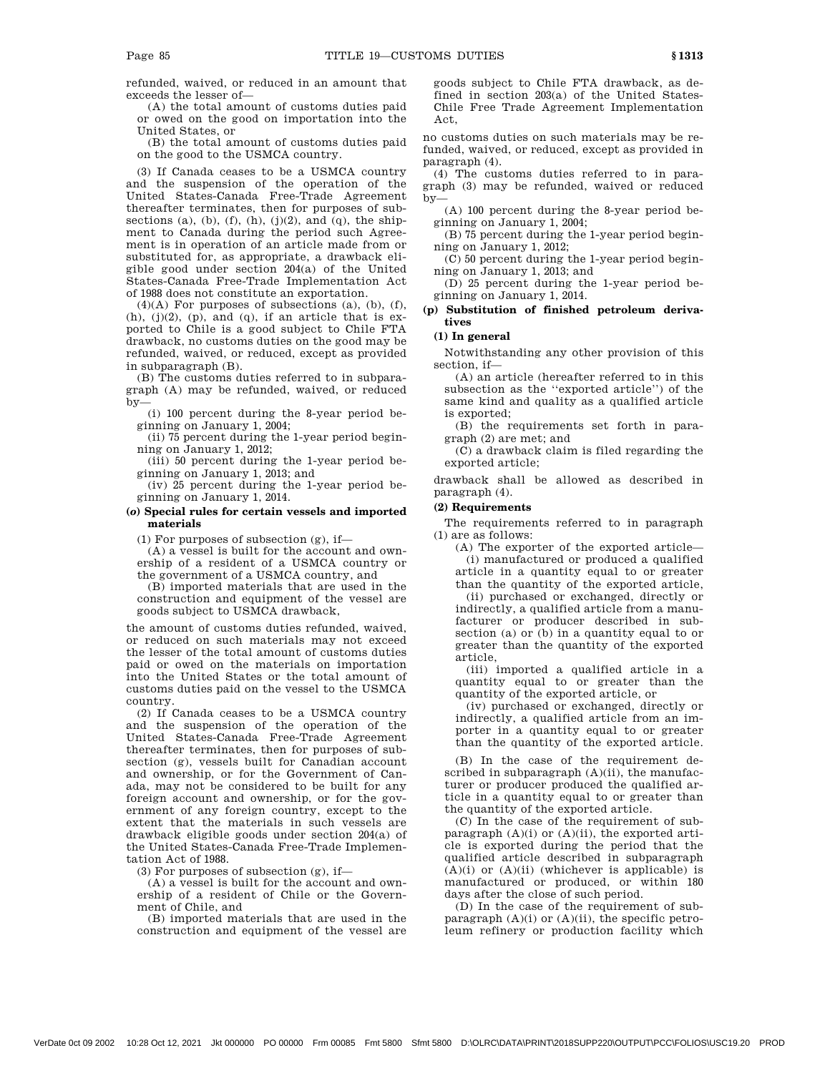refunded, waived, or reduced in an amount that exceeds the lesser of—

(A) the total amount of customs duties paid or owed on the good on importation into the United States, or

(B) the total amount of customs duties paid on the good to the USMCA country.

(3) If Canada ceases to be a USMCA country and the suspension of the operation of the United States-Canada Free-Trade Agreement thereafter terminates, then for purposes of subsections (a), (b), (f), (h), (j)(2), and (q), the shipment to Canada during the period such Agreement is in operation of an article made from or substituted for, as appropriate, a drawback eligible good under section 204(a) of the United States-Canada Free-Trade Implementation Act of 1988 does not constitute an exportation.

 $(4)(A)$  For purposes of subsections  $(a)$ ,  $(b)$ ,  $(f)$ ,  $(h)$ ,  $(j)(2)$ ,  $(p)$ , and  $(q)$ , if an article that is exported to Chile is a good subject to Chile FTA drawback, no customs duties on the good may be refunded, waived, or reduced, except as provided in subparagraph (B).

(B) The customs duties referred to in subparagraph (A) may be refunded, waived, or reduced by—

(i) 100 percent during the 8-year period beginning on January 1, 2004;

(ii) 75 percent during the 1-year period beginning on January 1, 2012;

(iii) 50 percent during the 1-year period beginning on January 1, 2013; and

(iv) 25 percent during the 1-year period beginning on January 1, 2014.

# **(***o***) Special rules for certain vessels and imported materials**

(1) For purposes of subsection  $(g)$ , if-

(A) a vessel is built for the account and ownership of a resident of a USMCA country or the government of a USMCA country, and

(B) imported materials that are used in the construction and equipment of the vessel are goods subject to USMCA drawback,

the amount of customs duties refunded, waived, or reduced on such materials may not exceed the lesser of the total amount of customs duties paid or owed on the materials on importation into the United States or the total amount of customs duties paid on the vessel to the USMCA country.

(2) If Canada ceases to be a USMCA country and the suspension of the operation of the United States-Canada Free-Trade Agreement thereafter terminates, then for purposes of subsection (g), vessels built for Canadian account and ownership, or for the Government of Canada, may not be considered to be built for any foreign account and ownership, or for the government of any foreign country, except to the extent that the materials in such vessels are drawback eligible goods under section 204(a) of the United States-Canada Free-Trade Implementation Act of 1988.

(3) For purposes of subsection (g), if—

(A) a vessel is built for the account and ownership of a resident of Chile or the Government of Chile, and

(B) imported materials that are used in the construction and equipment of the vessel are goods subject to Chile FTA drawback, as defined in section 203(a) of the United States-Chile Free Trade Agreement Implementation Act,

no customs duties on such materials may be refunded, waived, or reduced, except as provided in paragraph (4).

(4) The customs duties referred to in paragraph (3) may be refunded, waived or reduced by—

(A) 100 percent during the 8-year period beginning on January 1, 2004;

(B) 75 percent during the 1-year period beginning on January 1, 2012;

(C) 50 percent during the 1-year period beginning on January 1, 2013; and

(D) 25 percent during the 1-year period beginning on January 1, 2014.

# **(p) Substitution of finished petroleum derivatives**

# **(1) In general**

Notwithstanding any other provision of this section, if—

(A) an article (hereafter referred to in this subsection as the ''exported article'') of the same kind and quality as a qualified article is exported;

(B) the requirements set forth in paragraph (2) are met; and

(C) a drawback claim is filed regarding the exported article;

drawback shall be allowed as described in paragraph (4).

### **(2) Requirements**

The requirements referred to in paragraph (1) are as follows:

(A) The exporter of the exported article— (i) manufactured or produced a qualified

article in a quantity equal to or greater than the quantity of the exported article,

(ii) purchased or exchanged, directly or indirectly, a qualified article from a manufacturer or producer described in subsection (a) or (b) in a quantity equal to or greater than the quantity of the exported article,

(iii) imported a qualified article in a quantity equal to or greater than the quantity of the exported article, or

(iv) purchased or exchanged, directly or indirectly, a qualified article from an importer in a quantity equal to or greater than the quantity of the exported article.

(B) In the case of the requirement described in subparagraph (A)(ii), the manufacturer or producer produced the qualified article in a quantity equal to or greater than the quantity of the exported article.

(C) In the case of the requirement of subparagraph  $(A)(i)$  or  $(A)(ii)$ , the exported article is exported during the period that the qualified article described in subparagraph  $(A)(i)$  or  $(A)(ii)$  (whichever is applicable) is manufactured or produced, or within 180 days after the close of such period.

(D) In the case of the requirement of subparagraph  $(A)(i)$  or  $(A)(ii)$ , the specific petroleum refinery or production facility which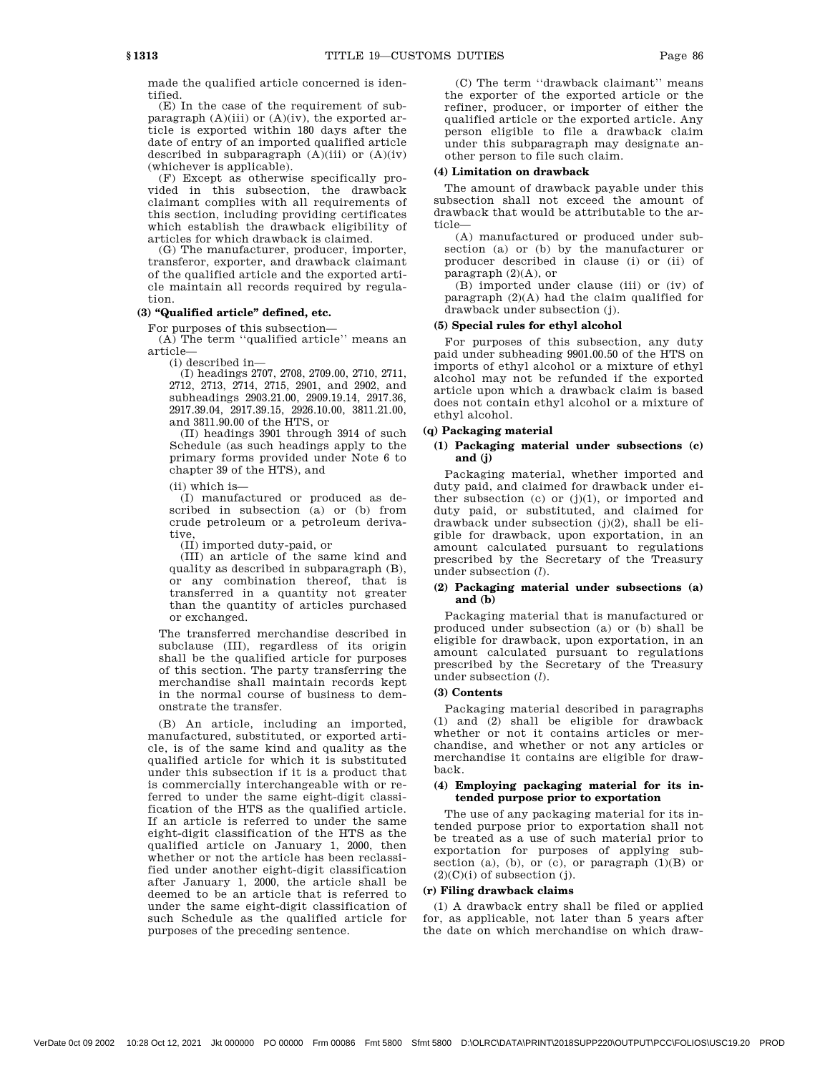made the qualified article concerned is identified.

(E) In the case of the requirement of subparagraph  $(A)(iii)$  or  $(A)(iv)$ , the exported article is exported within 180 days after the date of entry of an imported qualified article described in subparagraph  $(A)(iii)$  or  $(A)(iv)$ (whichever is applicable).

(F) Except as otherwise specifically provided in this subsection, the drawback claimant complies with all requirements of this section, including providing certificates which establish the drawback eligibility of articles for which drawback is claimed.

(G) The manufacturer, producer, importer, transferor, exporter, and drawback claimant of the qualified article and the exported article maintain all records required by regulation.

# **(3) ''Qualified article'' defined, etc.**

For purposes of this subsection— (A) The term ''qualified article'' means an

article— (i) described in—

(I) headings 2707, 2708, 2709.00, 2710, 2711, 2712, 2713, 2714, 2715, 2901, and 2902, and subheadings 2903.21.00, 2909.19.14, 2917.36, 2917.39.04, 2917.39.15, 2926.10.00, 3811.21.00, and 3811.90.00 of the HTS, or

(II) headings 3901 through 3914 of such Schedule (as such headings apply to the primary forms provided under Note 6 to chapter 39 of the HTS), and

(ii) which is—

(I) manufactured or produced as described in subsection (a) or (b) from crude petroleum or a petroleum derivative,

(II) imported duty-paid, or

(III) an article of the same kind and quality as described in subparagraph (B), or any combination thereof, that is transferred in a quantity not greater than the quantity of articles purchased or exchanged.

The transferred merchandise described in subclause (III), regardless of its origin shall be the qualified article for purposes of this section. The party transferring the merchandise shall maintain records kept in the normal course of business to demonstrate the transfer.

(B) An article, including an imported, manufactured, substituted, or exported article, is of the same kind and quality as the qualified article for which it is substituted under this subsection if it is a product that is commercially interchangeable with or referred to under the same eight-digit classification of the HTS as the qualified article. If an article is referred to under the same eight-digit classification of the HTS as the qualified article on January 1, 2000, then whether or not the article has been reclassified under another eight-digit classification after January 1, 2000, the article shall be deemed to be an article that is referred to under the same eight-digit classification of such Schedule as the qualified article for purposes of the preceding sentence.

(C) The term ''drawback claimant'' means the exporter of the exported article or the refiner, producer, or importer of either the qualified article or the exported article. Any person eligible to file a drawback claim under this subparagraph may designate another person to file such claim.

# **(4) Limitation on drawback**

The amount of drawback payable under this subsection shall not exceed the amount of drawback that would be attributable to the article—

(A) manufactured or produced under subsection (a) or (b) by the manufacturer or producer described in clause (i) or (ii) of paragraph (2)(A), or

(B) imported under clause (iii) or (iv) of paragraph (2)(A) had the claim qualified for drawback under subsection (j).

### **(5) Special rules for ethyl alcohol**

For purposes of this subsection, any duty paid under subheading 9901.00.50 of the HTS on imports of ethyl alcohol or a mixture of ethyl alcohol may not be refunded if the exported article upon which a drawback claim is based does not contain ethyl alcohol or a mixture of ethyl alcohol.

# **(q) Packaging material**

# **(1) Packaging material under subsections (c) and (j)**

Packaging material, whether imported and duty paid, and claimed for drawback under either subsection  $(c)$  or  $(j)(1)$ , or imported and duty paid, or substituted, and claimed for drawback under subsection (j)(2), shall be eligible for drawback, upon exportation, in an amount calculated pursuant to regulations prescribed by the Secretary of the Treasury under subsection (*l*).

# **(2) Packaging material under subsections (a) and (b)**

Packaging material that is manufactured or produced under subsection (a) or (b) shall be eligible for drawback, upon exportation, in an amount calculated pursuant to regulations prescribed by the Secretary of the Treasury under subsection (*l*).

# **(3) Contents**

Packaging material described in paragraphs (1) and (2) shall be eligible for drawback whether or not it contains articles or merchandise, and whether or not any articles or merchandise it contains are eligible for drawback.

### **(4) Employing packaging material for its intended purpose prior to exportation**

The use of any packaging material for its intended purpose prior to exportation shall not be treated as a use of such material prior to exportation for purposes of applying subsection (a), (b), or (c), or paragraph  $(1)(B)$  or  $(2)(C)(i)$  of subsection (j).

### **(r) Filing drawback claims**

(1) A drawback entry shall be filed or applied for, as applicable, not later than 5 years after the date on which merchandise on which draw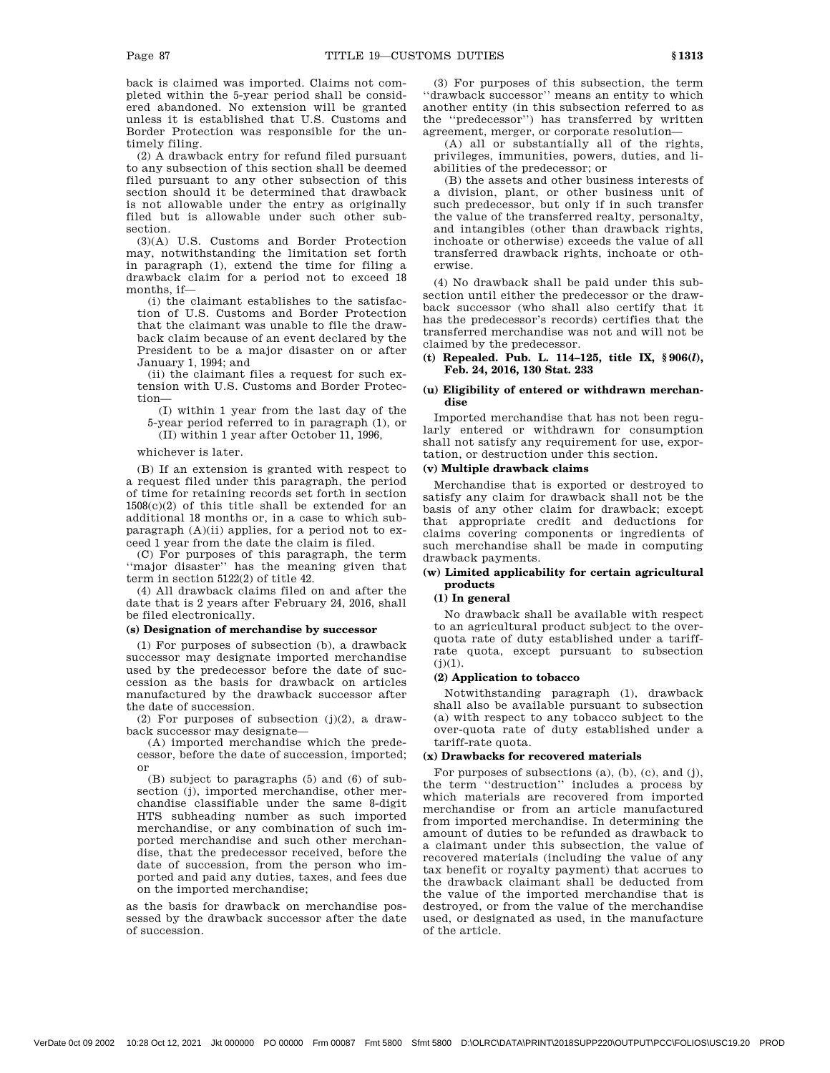back is claimed was imported. Claims not completed within the 5-year period shall be considered abandoned. No extension will be granted unless it is established that U.S. Customs and Border Protection was responsible for the untimely filing.

(2) A drawback entry for refund filed pursuant to any subsection of this section shall be deemed filed pursuant to any other subsection of this section should it be determined that drawback is not allowable under the entry as originally filed but is allowable under such other subsection.

(3)(A) U.S. Customs and Border Protection may, notwithstanding the limitation set forth in paragraph (1), extend the time for filing a drawback claim for a period not to exceed 18 months, if—

(i) the claimant establishes to the satisfaction of U.S. Customs and Border Protection that the claimant was unable to file the drawback claim because of an event declared by the President to be a major disaster on or after January 1, 1994; and

(ii) the claimant files a request for such extension with U.S. Customs and Border Protection—

(I) within 1 year from the last day of the 5-year period referred to in paragraph (1), or

(II) within 1 year after October 11, 1996,

whichever is later.

(B) If an extension is granted with respect to a request filed under this paragraph, the period of time for retaining records set forth in section 1508(c)(2) of this title shall be extended for an additional 18 months or, in a case to which subparagraph (A)(ii) applies, for a period not to exceed 1 year from the date the claim is filed.

(C) For purposes of this paragraph, the term ''major disaster'' has the meaning given that term in section 5122(2) of title 42.

(4) All drawback claims filed on and after the date that is 2 years after February 24, 2016, shall be filed electronically.

### **(s) Designation of merchandise by successor**

(1) For purposes of subsection (b), a drawback successor may designate imported merchandise used by the predecessor before the date of succession as the basis for drawback on articles manufactured by the drawback successor after the date of succession.

(2) For purposes of subsection  $(j)(2)$ , a drawback successor may designate—

(A) imported merchandise which the predecessor, before the date of succession, imported; or

(B) subject to paragraphs (5) and (6) of subsection (j), imported merchandise, other merchandise classifiable under the same 8-digit HTS subheading number as such imported merchandise, or any combination of such imported merchandise and such other merchandise, that the predecessor received, before the date of succession, from the person who imported and paid any duties, taxes, and fees due on the imported merchandise;

as the basis for drawback on merchandise possessed by the drawback successor after the date of succession.

(3) For purposes of this subsection, the term ''drawback successor'' means an entity to which another entity (in this subsection referred to as the ''predecessor'') has transferred by written agreement, merger, or corporate resolution—

(A) all or substantially all of the rights, privileges, immunities, powers, duties, and liabilities of the predecessor; or

(B) the assets and other business interests of a division, plant, or other business unit of such predecessor, but only if in such transfer the value of the transferred realty, personalty, and intangibles (other than drawback rights, inchoate or otherwise) exceeds the value of all transferred drawback rights, inchoate or otherwise.

(4) No drawback shall be paid under this subsection until either the predecessor or the drawback successor (who shall also certify that it has the predecessor's records) certifies that the transferred merchandise was not and will not be claimed by the predecessor.

## **(t) Repealed. Pub. L. 114–125, title IX, § 906(***l***), Feb. 24, 2016, 130 Stat. 233**

### **(u) Eligibility of entered or withdrawn merchandise**

Imported merchandise that has not been regularly entered or withdrawn for consumption shall not satisfy any requirement for use, exportation, or destruction under this section.

# **(v) Multiple drawback claims**

Merchandise that is exported or destroyed to satisfy any claim for drawback shall not be the basis of any other claim for drawback; except that appropriate credit and deductions for claims covering components or ingredients of such merchandise shall be made in computing drawback payments.

# **(w) Limited applicability for certain agricultural products**

#### **(1) In general**

No drawback shall be available with respect to an agricultural product subject to the overquota rate of duty established under a tariffrate quota, except pursuant to subsection  $(j)(1)$ .

### **(2) Application to tobacco**

Notwithstanding paragraph (1), drawback shall also be available pursuant to subsection (a) with respect to any tobacco subject to the over-quota rate of duty established under a tariff-rate quota.

# **(x) Drawbacks for recovered materials**

For purposes of subsections  $(a)$ ,  $(b)$ ,  $(c)$ , and  $(j)$ , the term ''destruction'' includes a process by which materials are recovered from imported merchandise or from an article manufactured from imported merchandise. In determining the amount of duties to be refunded as drawback to a claimant under this subsection, the value of recovered materials (including the value of any tax benefit or royalty payment) that accrues to the drawback claimant shall be deducted from the value of the imported merchandise that is destroyed, or from the value of the merchandise used, or designated as used, in the manufacture of the article.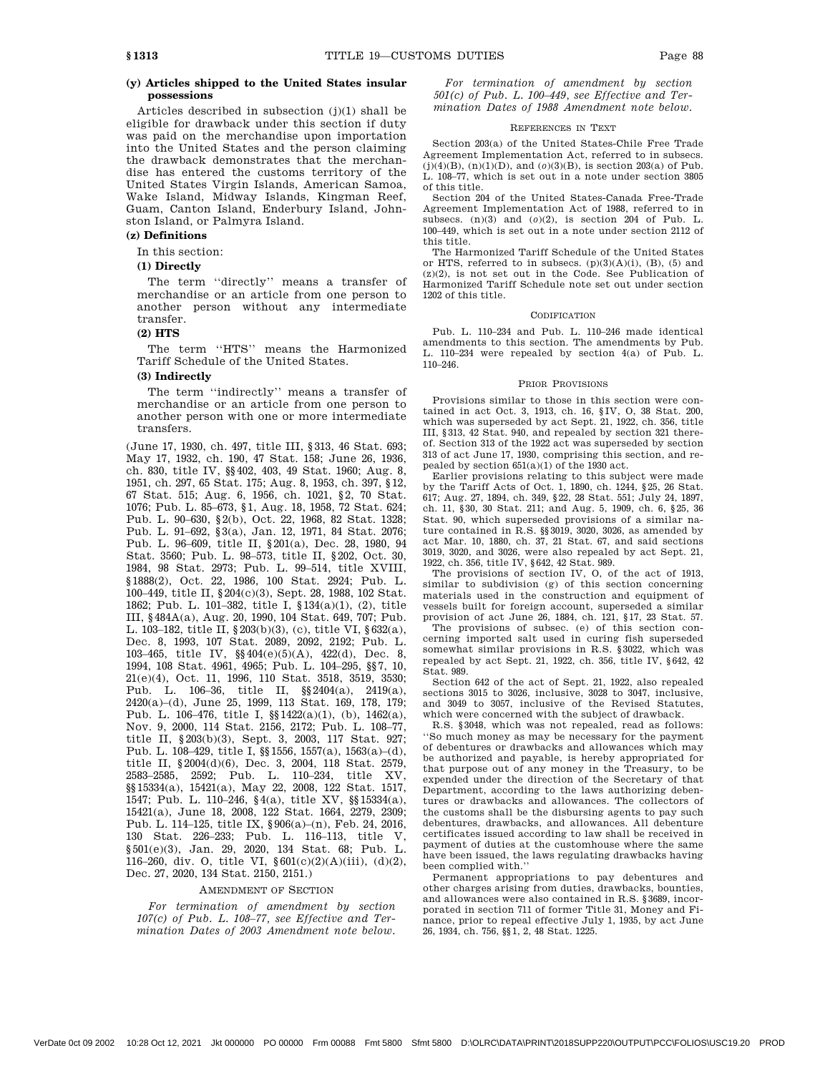# **(y) Articles shipped to the United States insular possessions**

Articles described in subsection (j)(1) shall be eligible for drawback under this section if duty was paid on the merchandise upon importation into the United States and the person claiming the drawback demonstrates that the merchandise has entered the customs territory of the United States Virgin Islands, American Samoa, Wake Island, Midway Islands, Kingman Reef, Guam, Canton Island, Enderbury Island, Johnston Island, or Palmyra Island.

### **(z) Definitions**

In this section:

# **(1) Directly**

The term ''directly'' means a transfer of merchandise or an article from one person to another person without any intermediate transfer.

# **(2) HTS**

The term ''HTS'' means the Harmonized Tariff Schedule of the United States.

## **(3) Indirectly**

The term ''indirectly'' means a transfer of merchandise or an article from one person to another person with one or more intermediate transfers.

(June 17, 1930, ch. 497, title III, §313, 46 Stat. 693; May 17, 1932, ch. 190, 47 Stat. 158; June 26, 1936, ch. 830, title IV, §§402, 403, 49 Stat. 1960; Aug. 8, 1951, ch. 297, 65 Stat. 175; Aug. 8, 1953, ch. 397, §12, 67 Stat. 515; Aug. 6, 1956, ch. 1021, §2, 70 Stat. 1076; Pub. L. 85–673, §1, Aug. 18, 1958, 72 Stat. 624; Pub. L. 90–630, §2(b), Oct. 22, 1968, 82 Stat. 1328; Pub. L. 91–692, §3(a), Jan. 12, 1971, 84 Stat. 2076; Pub. L. 96–609, title II, §201(a), Dec. 28, 1980, 94 Stat. 3560; Pub. L. 98–573, title II, §202, Oct. 30, 1984, 98 Stat. 2973; Pub. L. 99–514, title XVIII, §1888(2), Oct. 22, 1986, 100 Stat. 2924; Pub. L. 100–449, title II, §204(c)(3), Sept. 28, 1988, 102 Stat. 1862; Pub. L. 101–382, title I, §134(a)(1), (2), title III, §484A(a), Aug. 20, 1990, 104 Stat. 649, 707; Pub. L. 103–182, title II, §203(b)(3), (c), title VI, §632(a), Dec. 8, 1993, 107 Stat. 2089, 2092, 2192; Pub. L. 103–465, title IV, §§404(e)(5)(A), 422(d), Dec. 8, 1994, 108 Stat. 4961, 4965; Pub. L. 104–295, §§7, 10, 21(e)(4), Oct. 11, 1996, 110 Stat. 3518, 3519, 3530; Pub. L. 106–36, title II, §§2404(a), 2419(a), 2420(a)–(d), June 25, 1999, 113 Stat. 169, 178, 179; Pub. L. 106–476, title I, §§1422(a)(1), (b), 1462(a), Nov. 9, 2000, 114 Stat. 2156, 2172; Pub. L. 108–77, title II, §203(b)(3), Sept. 3, 2003, 117 Stat. 927; Pub. L. 108–429, title I, §§1556, 1557(a), 1563(a)–(d), title II, §2004(d)(6), Dec. 3, 2004, 118 Stat. 2579, 2583–2585, 2592; Pub. L. 110–234, title XV, §§15334(a), 15421(a), May 22, 2008, 122 Stat. 1517, 1547; Pub. L. 110–246, §4(a), title XV, §§15334(a), 15421(a), June 18, 2008, 122 Stat. 1664, 2279, 2309; Pub. L. 114–125, title IX, §906(a)–(n), Feb. 24, 2016, 130 Stat. 226–233; Pub. L. 116–113, title V, §501(e)(3), Jan. 29, 2020, 134 Stat. 68; Pub. L. 116–260, div. O, title VI, §601(c)(2)(A)(iii), (d)(2), Dec. 27, 2020, 134 Stat. 2150, 2151.)

#### AMENDMENT OF SECTION

*For termination of amendment by section 107(c) of Pub. L. 108–77, see Effective and Termination Dates of 2003 Amendment note below.* 

*For termination of amendment by section 501(c) of Pub. L. 100–449, see Effective and Termination Dates of 1988 Amendment note below.* 

#### REFERENCES IN TEXT

Section 203(a) of the United States-Chile Free Trade Agreement Implementation Act, referred to in subsecs.  $(j)(4)(B)$ ,  $(n)(1)(D)$ , and  $(0)(3)(B)$ , is section 203(a) of Pub. L. 108–77, which is set out in a note under section 3805 of this title.

Section 204 of the United States-Canada Free-Trade Agreement Implementation Act of 1988, referred to in subsecs. (n)(3) and (*o*)(2), is section 204 of Pub. L. 100–449, which is set out in a note under section 2112 of this title.

The Harmonized Tariff Schedule of the United States or HTS, referred to in subsecs.  $(p)(3)(A)(i)$ ,  $(B)$ ,  $(5)$  and (z)(2), is not set out in the Code. See Publication of Harmonized Tariff Schedule note set out under section 1202 of this title.

#### CODIFICATION

Pub. L. 110–234 and Pub. L. 110–246 made identical amendments to this section. The amendments by Pub. L. 110–234 were repealed by section 4(a) of Pub. L. 110–246.

#### PRIOR PROVISIONS

Provisions similar to those in this section were contained in act Oct. 3, 1913, ch. 16, §IV, O, 38 Stat. 200, which was superseded by act Sept. 21, 1922, ch. 356, title III, §313, 42 Stat. 940, and repealed by section 321 thereof. Section 313 of the 1922 act was superseded by section 313 of act June 17, 1930, comprising this section, and repealed by section  $651(a)(1)$  of the 1930 act.

Earlier provisions relating to this subject were made by the Tariff Acts of Oct. 1, 1890, ch. 1244, §25, 26 Stat. 617; Aug. 27, 1894, ch. 349, §22, 28 Stat. 551; July 24, 1897, ch. 11, §30, 30 Stat. 211; and Aug. 5, 1909, ch. 6, §25, 36 Stat. 90, which superseded provisions of a similar nature contained in R.S. §§3019, 3020, 3026, as amended by act Mar. 10, 1880, ch. 37, 21 Stat. 67, and said sections 3019, 3020, and 3026, were also repealed by act Sept. 21, 1922, ch. 356, title IV, §642, 42 Stat. 989.

The provisions of section IV, O, of the act of 1913, similar to subdivision (g) of this section concerning materials used in the construction and equipment of vessels built for foreign account, superseded a similar provision of act June 26, 1884, ch. 121, §17, 23 Stat. 57.

The provisions of subsec. (e) of this section concerning imported salt used in curing fish superseded somewhat similar provisions in R.S. §3022, which was repealed by act Sept. 21, 1922, ch. 356, title IV, §642, 42 Stat. 989.

Section 642 of the act of Sept. 21, 1922, also repealed sections 3015 to 3026, inclusive, 3028 to 3047, inclusive, and 3049 to 3057, inclusive of the Revised Statutes, which were concerned with the subject of drawback.

R.S. §3048, which was not repealed, read as follows: ''So much money as may be necessary for the payment of debentures or drawbacks and allowances which may be authorized and payable, is hereby appropriated for that purpose out of any money in the Treasury, to be expended under the direction of the Secretary of that Department, according to the laws authorizing debentures or drawbacks and allowances. The collectors of the customs shall be the disbursing agents to pay such debentures, drawbacks, and allowances. All debenture certificates issued according to law shall be received in payment of duties at the customhouse where the same have been issued, the laws regulating drawbacks having been complied with.''

Permanent appropriations to pay debentures and other charges arising from duties, drawbacks, bounties, and allowances were also contained in R.S. §3689, incorporated in section 711 of former Title 31, Money and Finance, prior to repeal effective July 1, 1935, by act June 26, 1934, ch. 756, §§1, 2, 48 Stat. 1225.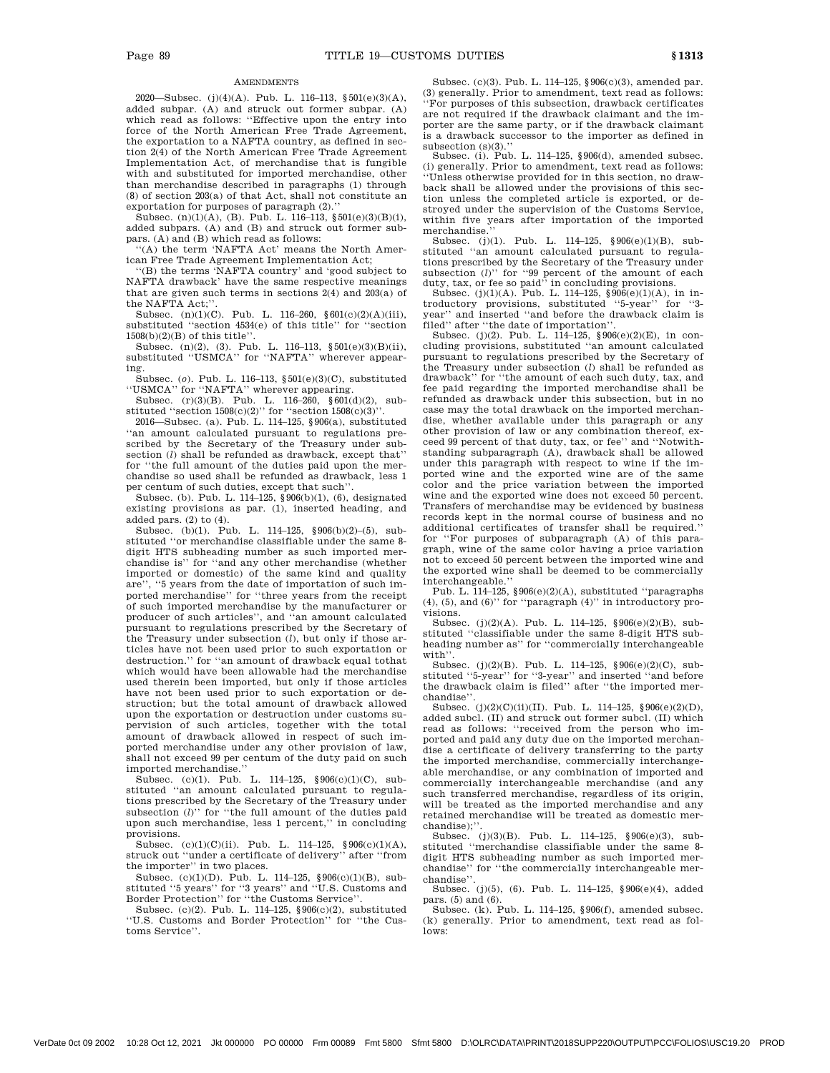### **AMENDMENTS**

2020—Subsec. (j)(4)(A). Pub. L. 116–113, §501(e)(3)(A), added subpar. (A) and struck out former subpar. (A) which read as follows: ''Effective upon the entry into force of the North American Free Trade Agreement, the exportation to a NAFTA country, as defined in section 2(4) of the North American Free Trade Agreement Implementation Act, of merchandise that is fungible with and substituted for imported merchandise, other than merchandise described in paragraphs (1) through (8) of section 203(a) of that Act, shall not constitute an exportation for purposes of paragraph (2).

Subsec.  $(n)(1)(A)$ ,  $(B)$ . Pub. L. 116–113, §501 $(e)(3)(B)(i)$ , added subpars. (A) and (B) and struck out former subpars. (A) and (B) which read as follows:

''(A) the term 'NAFTA Act' means the North American Free Trade Agreement Implementation Act;

''(B) the terms 'NAFTA country' and 'good subject to NAFTA drawback' have the same respective meanings that are given such terms in sections  $2(4)$  and  $203(a)$  of the NAFTA Act;''.

Subsec. (n)(1)(C). Pub. L. 116-260, §601(c)(2)(A)(iii), substituted ''section 4534(e) of this title'' for ''section 1508(b)(2)(B) of this title''.

Subsec. (n)(2), (3). Pub. L. 116–113, §501(e)(3)(B)(ii), substituted ''USMCA'' for ''NAFTA'' wherever appearing.

Subsec. (*o*). Pub. L. 116–113, §501(e)(3)(C), substituted ''USMCA'' for ''NAFTA'' wherever appearing.

Subsec. (r)(3)(B). Pub. L. 116–260, §601(d)(2), substituted "section  $1508(c)(2)$ " for "section  $1508(c)(3)$ ".

2016—Subsec. (a). Pub. L. 114–125, §906(a), substituted ''an amount calculated pursuant to regulations prescribed by the Secretary of the Treasury under subsection (*l*) shall be refunded as drawback, except that'' for ''the full amount of the duties paid upon the merchandise so used shall be refunded as drawback, less 1 per centum of such duties, except that such''.

Subsec. (b). Pub. L. 114–125, §906(b)(1), (6), designated existing provisions as par. (1), inserted heading, and added pars. (2) to (4).

Subsec. (b)(1). Pub. L. 114–125, §906(b)(2)–(5), substituted ''or merchandise classifiable under the same 8 digit HTS subheading number as such imported merchandise is'' for ''and any other merchandise (whether imported or domestic) of the same kind and quality are'', ''5 years from the date of importation of such imported merchandise'' for ''three years from the receipt of such imported merchandise by the manufacturer or producer of such articles'', and ''an amount calculated pursuant to regulations prescribed by the Secretary of the Treasury under subsection (*l*), but only if those articles have not been used prior to such exportation or destruction.'' for ''an amount of drawback equal tothat which would have been allowable had the merchandise used therein been imported, but only if those articles have not been used prior to such exportation or destruction; but the total amount of drawback allowed upon the exportation or destruction under customs supervision of such articles, together with the total amount of drawback allowed in respect of such imported merchandise under any other provision of law, shall not exceed 99 per centum of the duty paid on such imported merchandise.''

Subsec. (c)(1). Pub. L. 114–125,  $§ 906(c)(1)(C)$ , substituted ''an amount calculated pursuant to regulations prescribed by the Secretary of the Treasury under subsection (*l*)" for "the full amount of the duties paid upon such merchandise, less 1 percent,'' in concluding provisions.

Subsec.  $(c)(1)(C)(ii)$ . Pub. L. 114–125,  $§ 906(c)(1)(A)$ , struck out ''under a certificate of delivery'' after ''from the importer'' in two places.

Subsec. (c)(1)(D). Pub. L. 114–125, §906(c)(1)(B), substituted ''5 years'' for ''3 years'' and ''U.S. Customs and Border Protection'' for ''the Customs Service''.

Subsec. (c)(2). Pub. L. 114–125, §906(c)(2), substituted "U.S. Customs and Border Protection" for "the Customs Service''.

Subsec. (c)(3). Pub. L. 114–125, §906(c)(3), amended par. (3) generally. Prior to amendment, text read as follows: ''For purposes of this subsection, drawback certificates are not required if the drawback claimant and the importer are the same party, or if the drawback claimant is a drawback successor to the importer as defined in subsection (s)(3).''

Subsec. (i). Pub. L. 114–125, §906(d), amended subsec. (i) generally. Prior to amendment, text read as follows: ''Unless otherwise provided for in this section, no drawback shall be allowed under the provisions of this section unless the completed article is exported, or destroyed under the supervision of the Customs Service, within five years after importation of the imported merchandise.

Subsec. (j)(1). Pub. L. 114–125, §906(e)(1)(B), substituted "an amount calculated pursuant to regulations prescribed by the Secretary of the Treasury under subsection (*l*)" for "99 percent of the amount of each duty, tax, or fee so paid" in concluding provisions.

Subsec. (j)(1)(A). Pub. L. 114–125,  $\$ 906(e)(1)(A), in introductory provisions, substituted '5-year'' for '3year'' and inserted ''and before the drawback claim is filed'' after ''the date of importation''.

Subsec. (j)(2). Pub. L.  $114-125$ ,  $906(e)(2)(E)$ , in concluding provisions, substituted ''an amount calculated pursuant to regulations prescribed by the Secretary of the Treasury under subsection (*l*) shall be refunded as drawback'' for ''the amount of each such duty, tax, and fee paid regarding the imported merchandise shall be refunded as drawback under this subsection, but in no case may the total drawback on the imported merchandise, whether available under this paragraph or any other provision of law or any combination thereof, exceed 99 percent of that duty, tax, or fee'' and ''Notwithstanding subparagraph (A), drawback shall be allowed under this paragraph with respect to wine if the imported wine and the exported wine are of the same color and the price variation between the imported wine and the exported wine does not exceed 50 percent. Transfers of merchandise may be evidenced by business records kept in the normal course of business and no additional certificates of transfer shall be required.'' for ''For purposes of subparagraph (A) of this paragraph, wine of the same color having a price variation not to exceed 50 percent between the imported wine and the exported wine shall be deemed to be commercially interchangeable.''

Pub. L. 114–125, §906(e)(2)(A), substituted ''paragraphs (4), (5), and (6)'' for ''paragraph (4)'' in introductory provisions.

Subsec. (j)(2)(A). Pub. L. 114–125, §906(e)(2)(B), substituted ''classifiable under the same 8-digit HTS subheading number as'' for ''commercially interchangeable with''.

Subsec. (j)(2)(B). Pub. L. 114–125,  $\$ 906(e)(2)(C), substituted ''5-year'' for ''3-year'' and inserted ''and before the drawback claim is filed'' after ''the imported merchandise''.

Subsec. (j)(2)(C)(ii)(II). Pub. L. 114–125, §906(e)(2)(D), added subcl. (II) and struck out former subcl. (II) which read as follows: ''received from the person who imported and paid any duty due on the imported merchandise a certificate of delivery transferring to the party the imported merchandise, commercially interchangeable merchandise, or any combination of imported and commercially interchangeable merchandise (and any such transferred merchandise, regardless of its origin, will be treated as the imported merchandise and any retained merchandise will be treated as domestic merchandise);'

Subsec. (j)(3)(B). Pub. L. 114–125, §906(e)(3), substituted ''merchandise classifiable under the same 8 digit HTS subheading number as such imported merchandise'' for ''the commercially interchangeable merchandise''.

Subsec. (j)(5), (6). Pub. L. 114–125, §906(e)(4), added

pars. (5) and (6). Subsec. (k). Pub. L. 114–125, §906(f), amended subsec. (k) generally. Prior to amendment, text read as follows: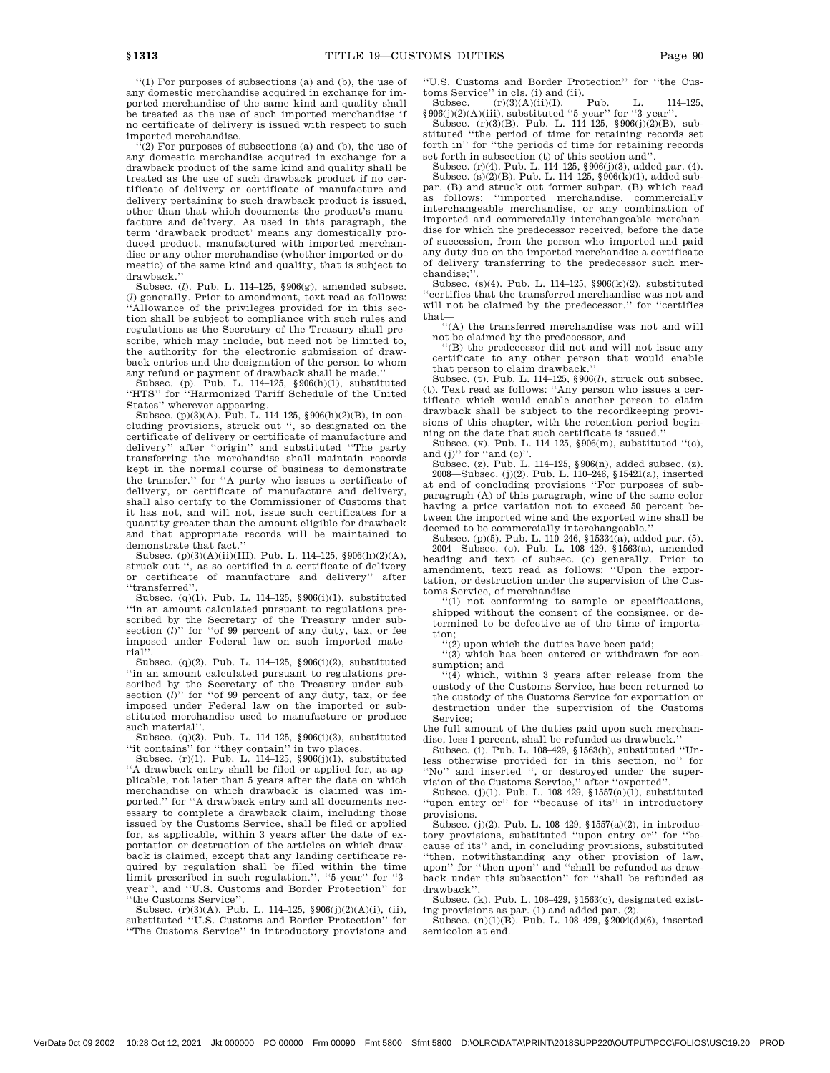''(1) For purposes of subsections (a) and (b), the use of any domestic merchandise acquired in exchange for imported merchandise of the same kind and quality shall be treated as the use of such imported merchandise if no certificate of delivery is issued with respect to such imported merchandise.

 $\cdot \cdot (2)$  For purposes of subsections (a) and (b), the use of any domestic merchandise acquired in exchange for a drawback product of the same kind and quality shall be treated as the use of such drawback product if no certificate of delivery or certificate of manufacture and delivery pertaining to such drawback product is issued, other than that which documents the product's manufacture and delivery. As used in this paragraph, the term 'drawback product' means any domestically produced product, manufactured with imported merchandise or any other merchandise (whether imported or domestic) of the same kind and quality, that is subject to drawback.''

Subsec. (*l*). Pub. L. 114–125, §906(g), amended subsec. (*l*) generally. Prior to amendment, text read as follows: 'Allowance of the privileges provided for in this section shall be subject to compliance with such rules and regulations as the Secretary of the Treasury shall prescribe, which may include, but need not be limited to, the authority for the electronic submission of drawback entries and the designation of the person to whom

any refund or payment of drawback shall be made.'' Subsec. (p). Pub. L. 114–125, §906(h)(1), substituted ''HTS'' for ''Harmonized Tariff Schedule of the United

States'' wherever appearing. Subsec. (p)(3)(A). Pub. L. 114–125, §906(h)(2)(B), in concluding provisions, struck out '', so designated on the certificate of delivery or certificate of manufacture and delivery'' after ''origin'' and substituted ''The party transferring the merchandise shall maintain records kept in the normal course of business to demonstrate the transfer.'' for ''A party who issues a certificate of delivery, or certificate of manufacture and delivery, shall also certify to the Commissioner of Customs that it has not, and will not, issue such certificates for a quantity greater than the amount eligible for drawback and that appropriate records will be maintained to demonstrate that fact.''

Subsec. (p)(3)(A)(ii)(III). Pub. L. 114–125, §906(h)(2)(A), struck out '', as so certified in a certificate of delivery or certificate of manufacture and delivery'' after ''transferred''.

Subsec. (q)(1). Pub. L. 114–125, §906(i)(1), substituted ''in an amount calculated pursuant to regulations prescribed by the Secretary of the Treasury under subsection (*l*)" for "of 99 percent of any duty, tax, or fee imposed under Federal law on such imported material''.

Subsec. (q)(2). Pub. L. 114–125, §906(i)(2), substituted ''in an amount calculated pursuant to regulations prescribed by the Secretary of the Treasury under sub-section (*l*)'' for ''of 99 percent of any duty, tax, or fee imposed under Federal law on the imported or substituted merchandise used to manufacture or produce such material''.

Subsec.  $(q)(3)$ . Pub. L. 114–125, §906(i)(3), substituted ''it contains'' for ''they contain'' in two places.

Subsec. (r)(1). Pub. L. 114–125, §906(j)(1), substituted ''A drawback entry shall be filed or applied for, as applicable, not later than 5 years after the date on which merchandise on which drawback is claimed was imported.'' for ''A drawback entry and all documents necessary to complete a drawback claim, including those issued by the Customs Service, shall be filed or applied for, as applicable, within 3 years after the date of exportation or destruction of the articles on which drawback is claimed, except that any landing certificate required by regulation shall be filed within the time limit prescribed in such regulation.'', ''5-year'' for ''3 year'', and ''U.S. Customs and Border Protection'' for ''the Customs Service''.

Subsec. (r)(3)(A). Pub. L. 114–125,  $\S 906(j)(2)(A)(i)$ , (ii), substituted "U.S. Customs and Border Protection" for ''The Customs Service'' in introductory provisions and ''U.S. Customs and Border Protection'' for ''the Customs Service'' in cls. (i) and (ii).

Subsec. (r)(3)(A)(ii)(I). Pub. L. 114–125,  $§906(j)(2)(A)(iii)$ , substituted "5-year" for "3-year".

Subsec. (r)(3)(B). Pub. L. 114–125, §906(j)(2)(B), substituted ''the period of time for retaining records set forth in'' for ''the periods of time for retaining records set forth in subsection (t) of this section and''.

Subsec. (r)(4). Pub. L. 114–125, §906(j)(3), added par. (4).<br>Subsec. (s)(2)(B). Pub. L. 114–125, §906(k)(1), added subpar. (B) and struck out former subpar. (B) which read as follows: ''imported merchandise, commercially interchangeable merchandise, or any combination of imported and commercially interchangeable merchandise for which the predecessor received, before the date of succession, from the person who imported and paid any duty due on the imported merchandise a certificate of delivery transferring to the predecessor such merchandise;''.

Subsec. (s)(4). Pub. L. 114–125, §906(k)(2), substituted ''certifies that the transferred merchandise was not and will not be claimed by the predecessor." for "certifies

that— ''(A) the transferred merchandise was not and will not be claimed by the predecessor, and  $\rm not$  be claimed by the predecessor, and  $``\rm(B)$  the predecessor did not and will not issue any

certificate to any other person that would enable that person to claim drawback.''

Subsec. (t). Pub. L. 114–125, §906(*l*), struck out subsec. (t). Text read as follows: ''Any person who issues a certificate which would enable another person to claim drawback shall be subject to the recordkeeping provisions of this chapter, with the retention period beginning on the date that such certificate is issued.''

Subsec. (x). Pub. L. 114–125, §906(m), substituted ''(c), and (j)" for "and (c)".

Subsec. (z). Pub. L. 114–125, §906(n), added subsec. (z). 2008—Subsec. (j)(2). Pub. L. 110–246, §15421(a), inserted at end of concluding provisions ''For purposes of subparagraph (A) of this paragraph, wine of the same color having a price variation not to exceed 50 percent between the imported wine and the exported wine shall be deemed to be commercially interchangeable.''

Subsec. (p)(5). Pub. L. 110–246, §15334(a), added par. (5). 2004—Subsec. (c). Pub. L. 108–429, §1563(a), amended heading and text of subsec. (c) generally. Prior to amendment, text read as follows: ''Upon the exportation, or destruction under the supervision of the Cus-

toms Service, of merchandise— ''(1) not conforming to sample or specifications, shipped without the consent of the consignee, or determined to be defective as of the time of importation;

 $(2)$  upon which the duties have been paid;

''(3) which has been entered or withdrawn for consumption; and

''(4) which, within 3 years after release from the custody of the Customs Service, has been returned to the custody of the Customs Service for exportation or destruction under the supervision of the Customs Service;

the full amount of the duties paid upon such merchandise, less 1 percent, shall be refunded as drawback.''

Subsec. (i). Pub. L. 108–429, §1563(b), substituted ''Unless otherwise provided for in this section, no'' for ''No'' and inserted '', or destroyed under the super-vision of the Customs Service,'' after ''exported''. Subsec. (j)(1). Pub. L. 108–429, §1557(a)(1), substituted

''upon entry or'' for ''because of its'' in introductory provisions.

Subsec. (j)(2). Pub. L. 108–429, §1557(a)(2), in introductory provisions, substituted ''upon entry or'' for ''because of its'' and, in concluding provisions, substituted ''then, notwithstanding any other provision of law, upon'' for ''then upon'' and ''shall be refunded as drawback under this subsection'' for ''shall be refunded as drawback''.

Subsec. (k). Pub. L. 108–429, §1563(c), designated exist-

ing provisions as par. (1) and added par.  $(2)$ .<br>Subsec.  $(n)(1)(B)$ . Pub. L. 108–429, §2004(d)(6), inserted semicolon at end.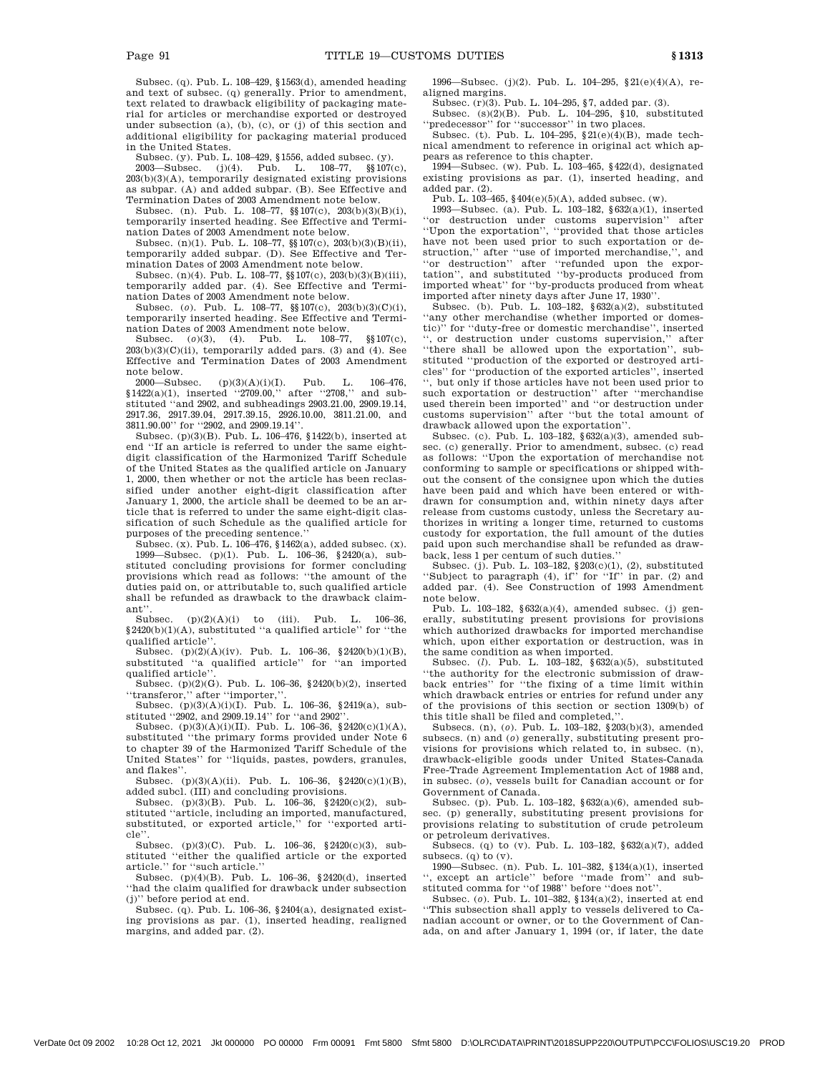Subsec. (q). Pub. L. 108–429, §1563(d), amended heading and text of subsec. (q) generally. Prior to amendment, text related to drawback eligibility of packaging material for articles or merchandise exported or destroyed under subsection (a), (b), (c), or (j) of this section and additional eligibility for packaging material produced in the United States.

Subsec. (y). Pub. L. 108–429, §1556, added subsec. (y).

2003—Subsec. (j)(4). Pub. L. 108–77, §§107(c), 203(b)(3)(A), temporarily designated existing provisions as subpar. (A) and added subpar. (B). See Effective and Termination Dates of 2003 Amendment note below.

Subsec. (n). Pub. L. 108–77, §§107(c), 203(b)(3)(B)(i), temporarily inserted heading. See Effective and Termination Dates of 2003 Amendment note below.

Subsec. (n)(1). Pub. L. 108–77, §§107(c), 203(b)(3)(B)(ii), temporarily added subpar. (D). See Effective and Termination Dates of 2003 Amendment note below.

Subsec. (n)(4). Pub. L. 108–77, §§107(c), 203(b)(3)(B)(iii), temporarily added par. (4). See Effective and Termination Dates of 2003 Amendment note below.

Subsec. (*o*). Pub. L. 108–77, §§107(c), 203(b)(3)(C)(i), temporarily inserted heading. See Effective and Termination Dates of 2003 Amendment note below.<br>Subsec.  $(a)(3)$ ,  $(4)$ , Pub. L.  $108-77$ .

 $(a)(3)$ , (4). Pub. L.  $108-77$ , §§107(c),  $203(b)(3)(C)(ii)$ , temporarily added pars. (3) and (4). See Effective and Termination Dates of 2003 Amendment note below.

2000—Subsec.  $(p)(3)(A)(i)(I)$ . Pub. L. 106–476, §1422(a)(1), inserted ''2709.00,'' after ''2708,'' and substituted ''and 2902, and subheadings 2903.21.00, 2909.19.14, 2917.36, 2917.39.04, 2917.39.15, 2926.10.00, 3811.21.00, and 3811.90.00'' for ''2902, and 2909.19.14''.

Subsec. (p)(3)(B). Pub. L. 106–476, §1422(b), inserted at end ''If an article is referred to under the same eightdigit classification of the Harmonized Tariff Schedule of the United States as the qualified article on January 1, 2000, then whether or not the article has been reclassified under another eight-digit classification after January 1, 2000, the article shall be deemed to be an article that is referred to under the same eight-digit classification of such Schedule as the qualified article for purposes of the preceding sentence.''

Subsec. (x). Pub. L. 106–476, §1462(a), added subsec. (x). 1999—Subsec. (p)(1). Pub. L. 106–36, §2420(a), substituted concluding provisions for former concluding provisions which read as follows: ''the amount of the duties paid on, or attributable to, such qualified article shall be refunded as drawback to the drawback claimant''.

 $(p)(2)(A)(i)$  to (iii). Pub. L. 106-36,  $$2420(b)(1)(A)$ , substituted "a qualified article" for "the qualified article''.

Subsec. (p)(2)(A)(iv). Pub. L. 106–36, §2420(b)(1)(B), substituted ''a qualified article'' for ''an imported qualified article''.

Subsec. (p)(2)(G). Pub. L. 106–36, §2420(b)(2), inserted ''transferor,'' after ''importer,''. Subsec. (p)(3)(A)(i)(I). Pub. L. 106–36, §2419(a), sub-

stituted ''2902, and 2909.19.14'' for ''and 2902''.

Subsec.  $(p)(3)(A)(i)(II)$ . Pub. L. 106-36, §2420(c)(1)(A), substituted ''the primary forms provided under Note 6 to chapter 39 of the Harmonized Tariff Schedule of the United States'' for ''liquids, pastes, powders, granules, and flakes''.

Subsec. (p)(3)(A)(ii). Pub. L. 106-36, §2420(c)(1)(B), added subcl. (III) and concluding provisions.

Subsec. (p)(3)(B). Pub. L. 106–36, §2420(c)(2), sub-stituted ''article, including an imported, manufactured, substituted, or exported article,'' for ''exported article''.

Subsec. (p)(3)(C). Pub. L. 106–36, §2420(c)(3), substituted "either the qualified article or the exported

article.'' for ''such article.'' Subsec. (p)(4)(B). Pub. L. 106–36, §2420(d), inserted ''had the claim qualified for drawback under subsection (j)'' before period at end.

Subsec. (q). Pub. L. 106–36, §2404(a), designated existing provisions as par. (1), inserted heading, realigned margins, and added par. (2).

1996—Subsec. (j)(2). Pub. L. 104–295, §21(e)(4)(A), realigned margins.

Subsec. (r)(3). Pub. L. 104–295, §7, added par. (3). Subsec. (s)(2)(B). Pub. L. 104–295, §10, substituted ''predecessor'' for ''successor'' in two places.

Subsec. (t). Pub. L. 104–295, §21(e)(4)(B), made technical amendment to reference in original act which ap-

pears as reference to this chapter. 1994—Subsec. (w). Pub. L. 103–465, §422(d), designated existing provisions as par. (1), inserted heading, and added par. (2).

Pub. L. 103–465, §404(e)(5)(A), added subsec. (w).

1993—Subsec. (a). Pub. L. 103–182, §632(a)(1), inserted "or destruction under customs supervision" after ''Upon the exportation'', ''provided that those articles have not been used prior to such exportation or destruction,'' after ''use of imported merchandise,'', and ''or destruction'' after ''refunded upon the exportation'', and substituted ''by-products produced from imported wheat'' for ''by-products produced from wheat imported after ninety days after June 17, 1930''.

Subsec. (b). Pub. L. 103–182, §632(a)(2), substituted ''any other merchandise (whether imported or domestic)'' for ''duty-free or domestic merchandise'', inserted '', or destruction under customs supervision,'' after ''there shall be allowed upon the exportation'', substituted ''production of the exported or destroyed articles'' for ''production of the exported articles'', inserted '', but only if those articles have not been used prior to such exportation or destruction'' after ''merchandise used therein been imported'' and ''or destruction under customs supervision'' after ''but the total amount of drawback allowed upon the exportation''.

Subsec. (c). Pub. L. 103–182, §632(a)(3), amended subsec. (c) generally. Prior to amendment, subsec. (c) read as follows: ''Upon the exportation of merchandise not conforming to sample or specifications or shipped without the consent of the consignee upon which the duties have been paid and which have been entered or withdrawn for consumption and, within ninety days after release from customs custody, unless the Secretary authorizes in writing a longer time, returned to customs custody for exportation, the full amount of the duties paid upon such merchandise shall be refunded as drawback, less 1 per centum of such duties.''

Subsec. (j). Pub. L. 103–182, §203(c)(1), (2), substituted ''Subject to paragraph (4), if'' for ''If'' in par. (2) and added par. (4). See Construction of 1993 Amendment note below.

Pub. L. 103–182,  $\S 632(a)(4)$ , amended subsec. (j) generally, substituting present provisions for provisions which authorized drawbacks for imported merchandise which, upon either exportation or destruction, was in the same condition as when imported.

Subsec. (*l*). Pub. L. 103–182, §632(a)(5), substituted ''the authority for the electronic submission of drawback entries'' for ''the fixing of a time limit within which drawback entries or entries for refund under any of the provisions of this section or section 1309(b) of this title shall be filed and completed,"

Subsecs. (n), (*o*). Pub. L. 103–182, §203(b)(3), amended subsecs. (n) and (*o*) generally, substituting present provisions for provisions which related to, in subsec. (n), drawback-eligible goods under United States-Canada Free-Trade Agreement Implementation Act of 1988 and, in subsec. (*o*), vessels built for Canadian account or for Government of Canada.

Subsec. (p). Pub. L. 103–182, §632(a)(6), amended subsec. (p) generally, substituting present provisions for provisions relating to substitution of crude petroleum or petroleum derivatives.

Subsecs. (q) to (v). Pub. L. 103–182, §632(a)(7), added subsecs.  $(q)$  to  $(v)$ .

1990—Subsec. (n). Pub. L. 101–382, §134(a)(1), inserted '', except an article'' before ''made from'' and substituted comma for ''of 1988'' before ''does not''.

Subsec. (*o*). Pub. L. 101–382, §134(a)(2), inserted at end ''This subsection shall apply to vessels delivered to Canadian account or owner, or to the Government of Canada, on and after January 1, 1994 (or, if later, the date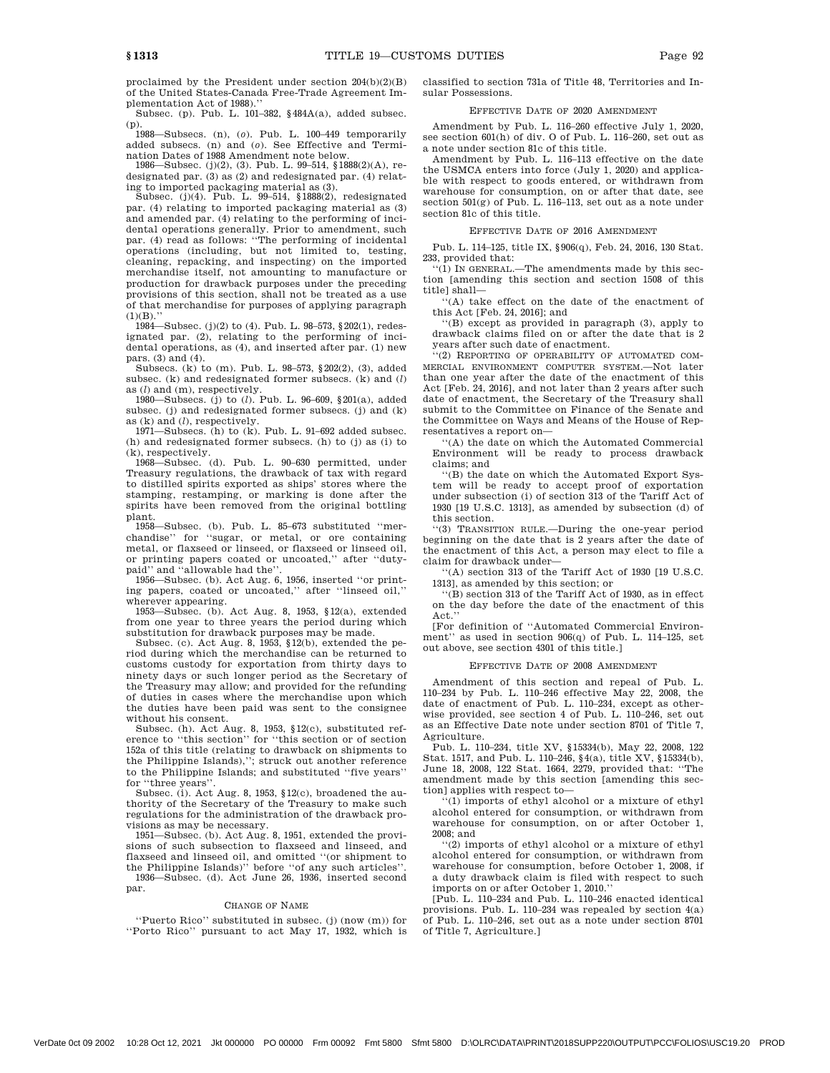proclaimed by the President under section 204(b)(2)(B) of the United States-Canada Free-Trade Agreement Implementation Act of 1988).''

Subsec. (p). Pub. L. 101–382, §484A(a), added subsec.

(p). 1988—Subsecs. (n), (*o*). Pub. L. 100–449 temporarily added subsecs. (n) and (*o*). See Effective and Termi-

nation Dates of 1988 Amendment note below. 1986—Subsec. (j)(2), (3). Pub. L. 99–514, §1888(2)(A), redesignated par. (3) as (2) and redesignated par. (4) relat-

ing to imported packaging material as (3). Subsec. (j)(4). Pub. L. 99–514, §1888(2), redesignated par. (4) relating to imported packaging material as (3) and amended par. (4) relating to the performing of incidental operations generally. Prior to amendment, such par. (4) read as follows: ''The performing of incidental operations (including, but not limited to, testing, cleaning, repacking, and inspecting) on the imported merchandise itself, not amounting to manufacture or production for drawback purposes under the preceding provisions of this section, shall not be treated as a use of that merchandise for purposes of applying paragraph  $(1)(B)$ .

1984—Subsec. (j)(2) to (4). Pub. L. 98–573, §202(1), redesignated par. (2), relating to the performing of incidental operations, as (4), and inserted after par. (1) new pars. (3) and (4).

Subsecs. (k) to (m). Pub. L. 98–573, §202(2), (3), added subsec. (k) and redesignated former subsecs. (k) and (*l*) as (*l*) and (m), respectively.

1980—Subsecs. (j) to (*l*). Pub. L. 96–609, §201(a), added subsec. (j) and redesignated former subsecs. (j) and (k)

as (k) and (*l*), respectively. 1971—Subsecs. (h) to (k). Pub. L. 91–692 added subsec. (h) and redesignated former subsecs. (h) to (j) as (i) to (k), respectively.

1968—Subsec. (d). Pub. L. 90–630 permitted, under Treasury regulations, the drawback of tax with regard to distilled spirits exported as ships' stores where the stamping, restamping, or marking is done after the spirits have been removed from the original bottling plant.

1958—Subsec. (b). Pub. L. 85–673 substituted ''merchandise'' for ''sugar, or metal, or ore containing metal, or flaxseed or linseed, or flaxseed or linseed oil, or printing papers coated or uncoated,'' after ''dutypaid'' and ''allowable had the''.

1956—Subsec. (b). Act Aug. 6, 1956, inserted ''or printing papers, coated or uncoated,'' after ''linseed oil,'' wherever appearing.

1953—Subsec. (b). Act Aug. 8, 1953, §12(a), extended from one year to three years the period during which substitution for drawback purposes may be made.

Subsec. (c). Act Aug. 8, 1953, §12(b), extended the period during which the merchandise can be returned to customs custody for exportation from thirty days to ninety days or such longer period as the Secretary of the Treasury may allow; and provided for the refunding of duties in cases where the merchandise upon which the duties have been paid was sent to the consignee without his consent.

Subsec. (h). Act Aug. 8, 1953, §12(c), substituted reference to ''this section'' for ''this section or of section 152a of this title (relating to drawback on shipments to the Philippine Islands),''; struck out another reference to the Philippine Islands; and substituted ''five years'' for ''three years''.

Subsec. (i). Act Aug. 8, 1953, §12(c), broadened the authority of the Secretary of the Treasury to make such regulations for the administration of the drawback provisions as may be necessary.

1951—Subsec. (b). Act Aug. 8, 1951, extended the provisions of such subsection to flaxseed and linseed, and flaxseed and linseed oil, and omitted ''(or shipment to the Philippine Islands)'' before ''of any such articles''. 1936—Subsec. (d). Act June 26, 1936, inserted second

par.

#### CHANGE OF NAME

''Puerto Rico'' substituted in subsec. (j) (now (m)) for ''Porto Rico'' pursuant to act May 17, 1932, which is

classified to section 731a of Title 48, Territories and Insular Possessions.

# EFFECTIVE DATE OF 2020 AMENDMENT

Amendment by Pub. L. 116–260 effective July 1, 2020, see section 601(h) of div. O of Pub. L. 116–260, set out as a note under section 81c of this title.

Amendment by Pub. L. 116–113 effective on the date the USMCA enters into force (July 1, 2020) and applicable with respect to goods entered, or withdrawn from warehouse for consumption, on or after that date, see section 501(g) of Pub. L. 116–113, set out as a note under section 81c of this title.

#### EFFECTIVE DATE OF 2016 AMENDMENT

Pub. L. 114–125, title IX, §906(q), Feb. 24, 2016, 130 Stat. 233, provided that:

 $(1)$  In GENERAL.—The amendments made by this section [amending this section and section 1508 of this title] shall—

''(A) take effect on the date of the enactment of this Act [Feb. 24, 2016]; and

''(B) except as provided in paragraph (3), apply to drawback claims filed on or after the date that is 2 years after such date of enactment. ''(2) REPORTING OF OPERABILITY OF AUTOMATED COM-

MERCIAL ENVIRONMENT COMPUTER SYSTEM.—Not later than one year after the date of the enactment of this Act [Feb. 24, 2016], and not later than 2 years after such date of enactment, the Secretary of the Treasury shall submit to the Committee on Finance of the Senate and the Committee on Ways and Means of the House of Representatives a report on—

''(A) the date on which the Automated Commercial Environment will be ready to process drawback claims; and

''(B) the date on which the Automated Export System will be ready to accept proof of exportation under subsection (i) of section 313 of the Tariff Act of 1930 [19 U.S.C. 1313], as amended by subsection (d) of this section.

''(3) TRANSITION RULE.—During the one-year period beginning on the date that is 2 years after the date of the enactment of this Act, a person may elect to file a claim for drawback under—

''(A) section 313 of the Tariff Act of 1930 [19 U.S.C. 1313], as amended by this section; or

''(B) section 313 of the Tariff Act of 1930, as in effect on the day before the date of the enactment of this Act.''

[For definition of ''Automated Commercial Environment" as used in section 906(q) of Pub. L. 114-125, set out above, see section 4301 of this title.]

#### EFFECTIVE DATE OF 2008 AMENDMENT

Amendment of this section and repeal of Pub. L. 110–234 by Pub. L. 110–246 effective May 22, 2008, the date of enactment of Pub. L. 110–234, except as otherwise provided, see section 4 of Pub. L. 110–246, set out as an Effective Date note under section 8701 of Title 7, Agriculture.

Pub. L. 110–234, title XV, §15334(b), May 22, 2008, 122 Stat. 1517, and Pub. L. 110–246, §4(a), title XV, §15334(b), June 18, 2008, 122 Stat. 1664, 2279, provided that: ''The amendment made by this section [amending this section] applies with respect to—

''(1) imports of ethyl alcohol or a mixture of ethyl alcohol entered for consumption, or withdrawn from warehouse for consumption, on or after October 1, 2008; and

''(2) imports of ethyl alcohol or a mixture of ethyl alcohol entered for consumption, or withdrawn from warehouse for consumption, before October 1, 2008, if a duty drawback claim is filed with respect to such imports on or after October 1, 2010.''

[Pub. L. 110–234 and Pub. L. 110–246 enacted identical provisions. Pub. L. 110–234 was repealed by section 4(a) of Pub. L. 110–246, set out as a note under section 8701 of Title 7, Agriculture.]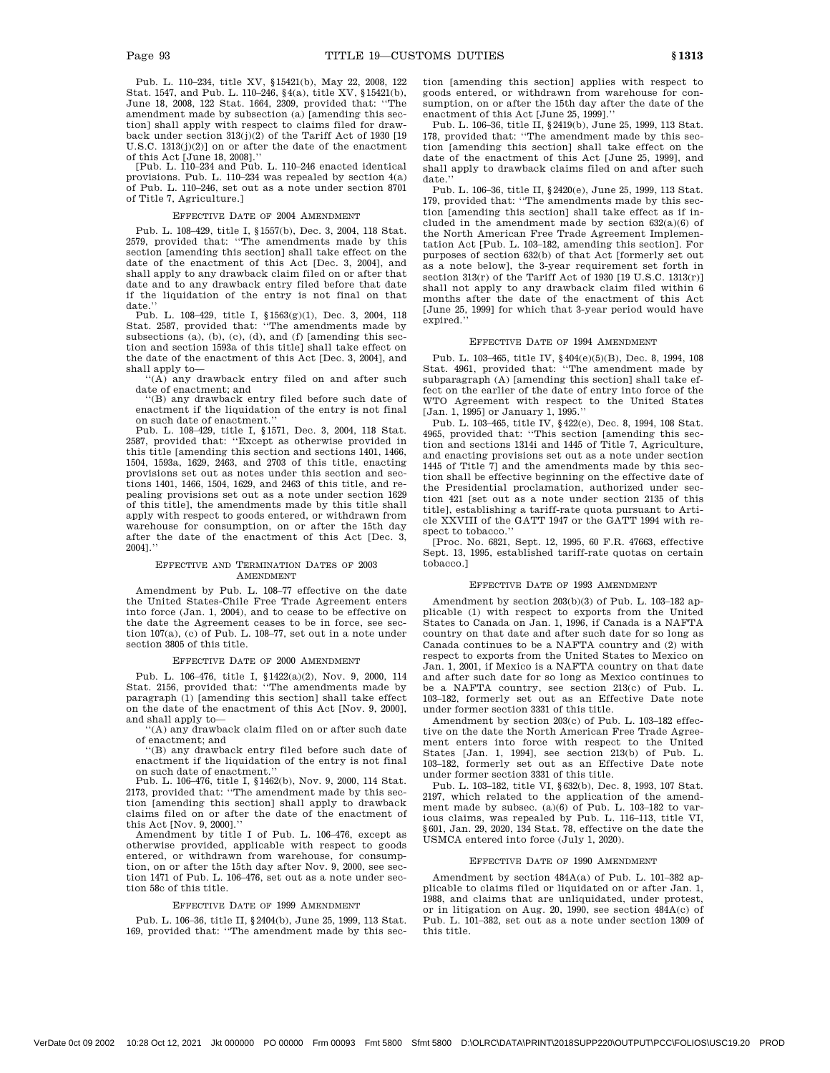Pub. L. 110–234, title XV, §15421(b), May 22, 2008, 122 Stat. 1547, and Pub. L. 110–246, §4(a), title XV, §15421(b), June 18, 2008, 122 Stat. 1664, 2309, provided that: ''The amendment made by subsection (a) [amending this section] shall apply with respect to claims filed for drawback under section 313(j)(2) of the Tariff Act of 1930 [19 U.S.C. 1313(j)(2)] on or after the date of the enactment of this Act [June 18, 2008].''

[Pub. L. 110–234 and Pub. L. 110–246 enacted identical provisions. Pub. L. 110–234 was repealed by section 4(a) of Pub. L. 110–246, set out as a note under section 8701 of Title 7, Agriculture.]

## EFFECTIVE DATE OF 2004 AMENDMENT

Pub. L. 108–429, title I, §1557(b), Dec. 3, 2004, 118 Stat. 2579, provided that: "The amendments made by this section [amending this section] shall take effect on the date of the enactment of this Act [Dec. 3, 2004], and shall apply to any drawback claim filed on or after that date and to any drawback entry filed before that date if the liquidation of the entry is not final on that date.

Pub. L. 108–429, title I,  $$1563(g)(1)$ , Dec. 3, 2004, 118 Stat. 2587, provided that: "The amendments made by subsections (a), (b), (c), (d), and (f) [amending this section and section 1593a of this title] shall take effect on the date of the enactment of this Act [Dec. 3, 2004], and shall apply to—

 $\sqrt{(A)}$  any drawback entry filed on and after such date of enactment; and

''(B) any drawback entry filed before such date of enactment if the liquidation of the entry is not final on such date of enactment.

Pub. L. 108–429, title I, §1571, Dec. 3, 2004, 118 Stat. 2587, provided that: ''Except as otherwise provided in this title [amending this section and sections 1401, 1466, 1504, 1593a, 1629, 2463, and 2703 of this title, enacting provisions set out as notes under this section and sections 1401, 1466, 1504, 1629, and 2463 of this title, and repealing provisions set out as a note under section 1629 of this title], the amendments made by this title shall apply with respect to goods entered, or withdrawn from warehouse for consumption, on or after the 15th day after the date of the enactment of this Act [Dec. 3, 2004].''

### EFFECTIVE AND TERMINATION DATES OF 2003 AMENDMENT

Amendment by Pub. L. 108–77 effective on the date the United States-Chile Free Trade Agreement enters into force (Jan. 1, 2004), and to cease to be effective on the date the Agreement ceases to be in force, see section 107(a), (c) of Pub. L. 108–77, set out in a note under section 3805 of this title.

#### EFFECTIVE DATE OF 2000 AMENDMENT

Pub. L. 106–476, title I, §1422(a)(2), Nov. 9, 2000, 114 Stat. 2156, provided that: ''The amendments made by paragraph (1) [amending this section] shall take effect on the date of the enactment of this Act [Nov. 9, 2000], and shall apply to—

'(A) any drawback claim filed on or after such date of enactment; and

''(B) any drawback entry filed before such date of enactment if the liquidation of the entry is not final on such date of enactment.

Pub. L. 106–476, title I, §1462(b), Nov. 9, 2000, 114 Stat. 2173, provided that: "The amendment made by this section [amending this section] shall apply to drawback claims filed on or after the date of the enactment of this Act [Nov. 9, 2000].''

Amendment by title I of Pub. L. 106–476, except as otherwise provided, applicable with respect to goods entered, or withdrawn from warehouse, for consumption, on or after the 15th day after Nov. 9, 2000, see section 1471 of Pub. L. 106–476, set out as a note under section 58c of this title.

#### EFFECTIVE DATE OF 1999 AMENDMENT

Pub. L. 106–36, title II, §2404(b), June 25, 1999, 113 Stat. 169, provided that: ''The amendment made by this section [amending this section] applies with respect to goods entered, or withdrawn from warehouse for consumption, on or after the 15th day after the date of the enactment of this Act [June 25, 1999].''

Pub. L. 106–36, title II, §2419(b), June 25, 1999, 113 Stat. 178, provided that: ''The amendment made by this section [amending this section] shall take effect on the date of the enactment of this Act [June 25, 1999], and shall apply to drawback claims filed on and after such date.

Pub. L. 106–36, title II, §2420(e), June 25, 1999, 113 Stat. 179, provided that: ''The amendments made by this section [amending this section] shall take effect as if included in the amendment made by section 632(a)(6) of the North American Free Trade Agreement Implementation Act [Pub. L. 103–182, amending this section]. For purposes of section 632(b) of that Act [formerly set out as a note below], the 3-year requirement set forth in section 313(r) of the Tariff Act of 1930 [19 U.S.C. 1313(r)] shall not apply to any drawback claim filed within 6 months after the date of the enactment of this Act [June 25, 1999] for which that 3-year period would have expired.''

#### EFFECTIVE DATE OF 1994 AMENDMENT

Pub. L. 103–465, title IV, §404(e)(5)(B), Dec. 8, 1994, 108 Stat. 4961, provided that: ''The amendment made by subparagraph (A) [amending this section] shall take effect on the earlier of the date of entry into force of the WTO Agreement with respect to the United States [Jan. 1, 1995] or January 1, 1995.''

Pub. L. 103–465, title IV, §422(e), Dec. 8, 1994, 108 Stat. 4965, provided that: ''This section [amending this section and sections 1314i and 1445 of Title 7, Agriculture, and enacting provisions set out as a note under section 1445 of Title 7] and the amendments made by this section shall be effective beginning on the effective date of the Presidential proclamation, authorized under section 421 [set out as a note under section 2135 of this title], establishing a tariff-rate quota pursuant to Article XXVIII of the GATT 1947 or the GATT 1994 with respect to tobacco.

[Proc. No. 6821, Sept. 12, 1995, 60 F.R. 47663, effective Sept. 13, 1995, established tariff-rate quotas on certain tobacco.]

#### EFFECTIVE DATE OF 1993 AMENDMENT

Amendment by section 203(b)(3) of Pub. L. 103–182 applicable (1) with respect to exports from the United States to Canada on Jan. 1, 1996, if Canada is a NAFTA country on that date and after such date for so long as Canada continues to be a NAFTA country and (2) with respect to exports from the United States to Mexico on Jan. 1, 2001, if Mexico is a NAFTA country on that date and after such date for so long as Mexico continues to be a NAFTA country, see section 213(c) of Pub. L. 103–182, formerly set out as an Effective Date note under former section 3331 of this title.

Amendment by section 203(c) of Pub. L. 103–182 effective on the date the North American Free Trade Agreement enters into force with respect to the United States [Jan. 1, 1994], see section 213(b) of Pub. L. 103–182, formerly set out as an Effective Date note under former section 3331 of this title.

Pub. L. 103–182, title VI, §632(b), Dec. 8, 1993, 107 Stat. 2197, which related to the application of the amendment made by subsec. (a)(6) of Pub. L. 103–182 to various claims, was repealed by Pub. L. 116–113, title VI, §601, Jan. 29, 2020, 134 Stat. 78, effective on the date the USMCA entered into force (July 1, 2020).

#### EFFECTIVE DATE OF 1990 AMENDMENT

Amendment by section 484A(a) of Pub. L. 101–382 applicable to claims filed or liquidated on or after Jan. 1, 1988, and claims that are unliquidated, under protest, or in litigation on Aug. 20, 1990, see section 484A(c) of Pub. L. 101–382, set out as a note under section 1309 of this title.